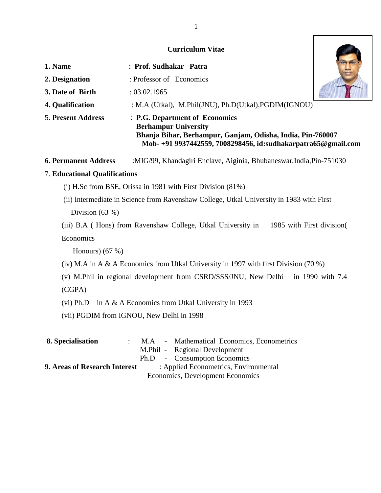## **Curriculum Vitae**

| 1. Name                   | : Prof. Sudhakar Patra                                                                                                                                                                      |  |
|---------------------------|---------------------------------------------------------------------------------------------------------------------------------------------------------------------------------------------|--|
| 2. Designation            | : Professor of Economics                                                                                                                                                                    |  |
| 3. Date of Birth          | : 03.02.1965                                                                                                                                                                                |  |
| 4. Qualification          | : M.A (Utkal), M.Phil(JNU), Ph.D(Utkal), PGDIM(IGNOU)                                                                                                                                       |  |
| <b>5. Present Address</b> | : P.G. Department of Economics<br><b>Berhampur University</b><br>Bhanja Bihar, Berhampur, Ganjam, Odisha, India, Pin-760007<br>Mob-+91 9937442559, 7008298456, id:sudhakarpatra65@gmail.com |  |

**6. Permanent Address** :MIG/99, Khandagiri Enclave, Aiginia, Bhubaneswar,India,Pin-751030

## 7. **Educational Qualifications**

- (i) H.Sc from BSE, Orissa in 1981 with First Division (81%)
- (ii) Intermediate in Science from Ravenshaw College, Utkal University in 1983 with First Division (63 %)

(iii) B.A ( Hons) from Ravenshaw College, Utkal University in 1985 with First division( Economics

Honours) (67 %)

- (iv) M.A in A & A Economics from Utkal University in 1997 with first Division (70 %)
- (v) M.Phil in regional development from CSRD/SSS/JNU, New Delhi in 1990 with 7.4

(CGPA)

- (vi) Ph.D in A & A Economics from Utkal University in 1993
- (vii) PGDIM from IGNOU, New Delhi in 1998

| 8. Specialisation                    |  | M.A - Mathematical Economics, Econometrics |
|--------------------------------------|--|--------------------------------------------|
|                                      |  | M.Phil - Regional Development              |
|                                      |  | Ph.D - Consumption Economics               |
| <b>9. Areas of Research Interest</b> |  | : Applied Econometrics, Environmental      |
|                                      |  | Economics, Development Economics           |
|                                      |  |                                            |

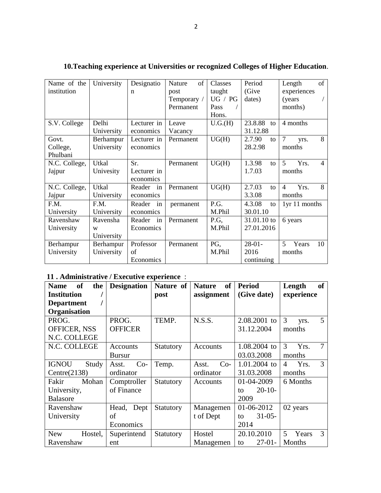| Name of the<br>institution | University | Designatio<br>n | of<br><b>Nature</b><br>post | Classes<br>taught | Period<br>(Give) | of<br>Length<br>experiences           |
|----------------------------|------------|-----------------|-----------------------------|-------------------|------------------|---------------------------------------|
|                            |            |                 | Temporary /                 | UG / PG           | dates)           | (years)                               |
|                            |            |                 | Permanent                   | Pass              |                  | months)                               |
|                            |            |                 |                             | Hons.             |                  |                                       |
| S.V. College               | Delhi      | Lecturer in     | Leave                       | U.G.(H)           | 23.8.88<br>to    | 4 months                              |
|                            | University | economics       | Vacancy                     |                   | 31.12.88         |                                       |
| Govt.                      | Berhampur  | Lecturer in     | Permanent                   | UG(H)             | 2.7.90<br>to     | $\overline{7}$<br>8<br>yrs.           |
| College,                   | University | economics       |                             |                   | 28.2.98          | months                                |
| Phulbani                   |            |                 |                             |                   |                  |                                       |
| N.C. College,              | Utkal      | Sr.             | Permanent                   | UG(H)             | 1.3.98<br>to     | 5<br>$\overline{\mathcal{L}}$<br>Yrs. |
| Jajpur                     | Univesity  | Lecturer in     |                             |                   | 1.7.03           | months                                |
|                            |            | economics       |                             |                   |                  |                                       |
| N.C. College,              | Utkal      | Reader<br>in    | Permanent                   | UG(H)             | 2.7.03<br>to     | 8<br>Yrs.<br>$\overline{4}$           |
| Jajpur                     | University | economics       |                             |                   | 3.3.08           | months                                |
| F.M.                       | F.M.       | Reader<br>in    | permanent                   | P.G.              | 4.3.08<br>to     | 1yr 11 months                         |
| University                 | University | economics       |                             | M.Phil            | 30.01.10         |                                       |
| Ravenshaw                  | Ravensha   | Reader<br>in    | Permanent                   | P.G,              | 31.01.10 to      | 6 years                               |
| University                 | W          | Economics       |                             | M.Phil            | 27.01.2016       |                                       |
|                            | University |                 |                             |                   |                  |                                       |
| Berhampur                  | Berhampur  | Professor       | Permanent                   | PG,               | $28-01-$         | $\overline{5}$<br>10<br>Years         |
| University                 | University | of              |                             | M.Phil            | 2016             | months                                |
|                            |            | Economics       |                             |                   | continuing       |                                       |

## **10.Teaching experience at Universities or recognized Colleges of Higher Education**.

## **11 . Administrative / Executive experience** :

| <b>of</b><br>the<br><b>Name</b> | <b>Designation</b> | Nature of        | <sub>of</sub><br><b>Nature</b> | <b>Period</b>     | of<br>Length                 |
|---------------------------------|--------------------|------------------|--------------------------------|-------------------|------------------------------|
| <b>Institution</b>              |                    | post             | assignment                     | (Give date)       | experience                   |
| <b>Department</b>               |                    |                  |                                |                   |                              |
| Organisation                    |                    |                  |                                |                   |                              |
| PROG.                           | PROG.              | TEMP.            | N.S.S.                         | 2.08.2001 to      | 3<br>5<br>yrs.               |
| OFFICER, NSS                    | <b>OFFICER</b>     |                  |                                | 31.12.2004        | months                       |
| N.C. COLLEGE                    |                    |                  |                                |                   |                              |
| N.C. COLLEGE                    | Accounts           | <b>Statutory</b> | Accounts                       | 1.08.2004 to      | 3<br>7<br>Yrs.               |
|                                 | <b>Bursur</b>      |                  |                                | 03.03.2008        | months                       |
| <b>IGNOU</b><br>Study           | $Co-$<br>Asst.     | Temp.            | Asst.<br>$Co-$                 | 1.01.2004 to      | 3<br>$\overline{4}$<br>Yrs.  |
| Centre(2138)                    | ordinator          |                  | 31.03.2008<br>ordinator        | months            |                              |
| Mohan<br>Fakir                  | Comptroller        | Statutory        | Accounts                       | 01-04-2009        | 6 Months                     |
| University,                     | of Finance         |                  |                                | $20-10-$<br>to    |                              |
| <b>Balasore</b>                 |                    |                  |                                | 2009              |                              |
| Ravenshaw                       | Head, Dept         | Statutory        | Managemen                      | 01-06-2012        | 02 years                     |
| University                      | of                 |                  | t of Dept                      | $31 - 05 -$<br>to |                              |
|                                 | Economics          |                  |                                | 2014              |                              |
| <b>New</b><br>Hostel,           | Superintend        | Statutory        | Hostel                         | 20.10.2010        | 3<br>$\overline{5}$<br>Years |
| Ravenshaw                       | ent                |                  | Managemen                      | $27-01-$<br>to    | Months                       |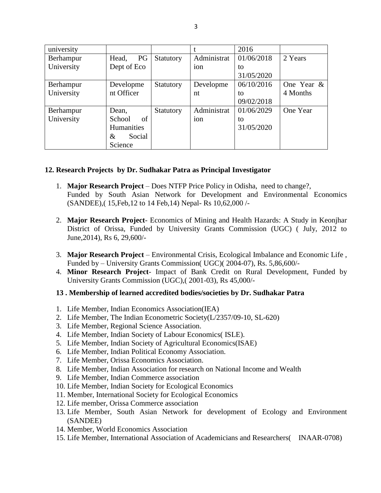| university |              |           |                 | 2016       |            |
|------------|--------------|-----------|-----------------|------------|------------|
| Berhampur  | PG<br>Head,  | Statutory | Administrat     | 01/06/2018 | 2 Years    |
| University | Dept of Eco  |           | 1 <sub>on</sub> | to         |            |
|            |              |           |                 | 31/05/2020 |            |
| Berhampur  | Developme    | Statutory | Developme       | 06/10/2016 | One Year & |
| University | nt Officer   |           | nt              | to         | 4 Months   |
|            |              |           |                 | 09/02/2018 |            |
| Berhampur  | Dean,        | Statutory | Administrat     | 01/06/2029 | One Year   |
| University | of<br>School |           | 1 <sub>on</sub> | to         |            |
|            | Humanities   |           |                 | 31/05/2020 |            |
|            | Social<br>&  |           |                 |            |            |
|            | Science      |           |                 |            |            |

### **12. Research Projects by Dr. Sudhakar Patra as Principal Investigator**

- 1. **Major Research Project** Does NTFP Price Policy in Odisha, need to change?, Funded by South Asian Network for Development and Environmental Economics (SANDEE),( 15,Feb,12 to 14 Feb,14) Nepal- Rs 10,62,000 /-
- 2. **Major Research Project** Economics of Mining and Health Hazards: A Study in Keonjhar District of Orissa, Funded by University Grants Commission (UGC) ( July, 2012 to June,2014), Rs 6, 29,600/-
- 3. **Major Research Project** Environmental Crisis, Ecological Imbalance and Economic Life , Funded by – University Grants Commission( UGC)( 2004-07), Rs. 5,86,600/-
- 4. **Minor Research Project** Impact of Bank Credit on Rural Development, Funded by University Grants Commission (UGC),( 2001-03), Rs 45,000/-

## **13 . Membership of learned accredited bodies/societies by Dr. Sudhakar Patra**

- 1. Life Member, Indian Economics Association(IEA)
- 2. Life Member, The Indian Econometric Society(L/2357/09-10, SL-620)
- 3. Life Member, Regional Science Association.
- 4. Life Member, Indian Society of Labour Economics( ISLE).
- 5. Life Member, Indian Society of Agricultural Economics(ISAE)
- 6. Life Member, Indian Political Economy Association.
- 7. Life Member, Orissa Economics Association.
- 8. Life Member, Indian Association for research on National Income and Wealth
- 9. Life Member, Indian Commerce association
- 10. Life Member, Indian Society for Ecological Economics
- 11. Member, International Society for Ecological Economics
- 12. Life member, Orissa Commerce association
- 13. Life Member, South Asian Network for development of Ecology and Environment (SANDEE)
- 14. Member, World Economics Association
- 15. Life Member, International Association of Academicians and Researchers( INAAR-0708)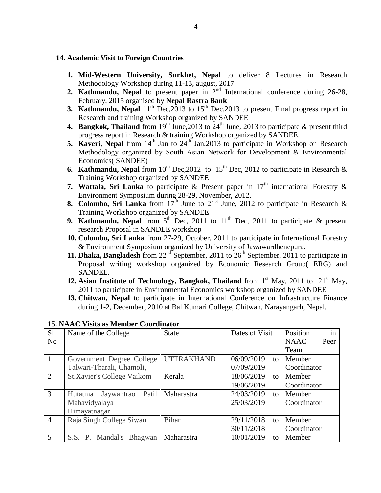## **14. Academic Visit to Foreign Countries**

- **1. Mid-Western University, Surkhet, Nepal** to deliver 8 Lectures in Research Methodology Workshop during 11-13, august, 2017
- **2. Kathmandu, Nepal** to present paper in 2<sup>nd</sup> International conference during 26-28, February, 2015 organised by **Nepal Rastra Bank**
- **3. Kathmandu, Nepal**  $11<sup>th</sup>$  Dec,  $2013$  to  $15<sup>th</sup>$  Dec,  $2013$  to present Final progress report in Research and training Workshop organized by SANDEE
- **4. Bangkok, Thailand** from 19<sup>th</sup> June, 2013 to 24<sup>th</sup> June, 2013 to participate & present third progress report in Research & training Workshop organized by SANDEE.
- **5. Kaveri, Nepal** from 14<sup>th</sup> Jan to 24<sup>th</sup> Jan, 2013 to participate in Workshop on Research Methodology organized by South Asian Network for Development & Environmental Economics( SANDEE)
- **6. Kathmandu, Nepal** from  $10^{th}$  Dec,  $2012$  to  $15^{th}$  Dec,  $2012$  to participate in Research & Training Workshop organized by SANDEE
- **7. Wattala, Sri Lanka** to participate & Present paper in  $17<sup>th</sup>$  international Forestry & Environment Symposium during 28-29, November, 2012.
- **8. Colombo, Sri Lanka** from  $17<sup>th</sup>$  June to  $21<sup>st</sup>$  June, 2012 to participate in Research & Training Workshop organized by SANDEE
- **9. Kathmandu, Nepal** from  $5<sup>th</sup>$  Dec, 2011 to 11<sup>th</sup> Dec, 2011 to participate & present research Proposal in SANDEE workshop
- **10. Colombo, Sri Lanka** from 27-29, October, 2011 to participate in International Forestry & Environment Symposium organized by University of Jawawardhenepura.
- **11. Dhaka, Bangladesh** from  $22^{nd}$  September, 2011 to  $26^{th}$  September, 2011 to participate in Proposal writing workshop organized by Economic Research Group( ERG) and SANDEE.
- **12.** Asian Institute of Technology, Bangkok, Thailand from  $1<sup>st</sup>$  May, 2011 to  $21<sup>st</sup>$  May, 2011 to participate in Environmental Economics workshop organized by SANDEE
- **13. Chitwan, Nepal** to participate in International Conference on Infrastructure Finance during 1-2, December, 2010 at Bal Kumari College, Chitwan, Narayangarh, Nepal.

| S <sub>1</sub> | Name of the College            | <b>State</b>      | Dates of Visit   | in<br>Position      |
|----------------|--------------------------------|-------------------|------------------|---------------------|
| N <sub>o</sub> |                                |                   |                  | <b>NAAC</b><br>Peer |
|                |                                |                   |                  | Team                |
| $\mathbf{1}$   | Government Degree College      | <b>UTTRAKHAND</b> | 06/09/2019<br>to | Member              |
|                | Talwari-Tharali, Chamoli,      |                   | 07/09/2019       | Coordinator         |
| $\overline{2}$ | St.Xavier's College Vaikom     | Kerala            | 18/06/2019<br>to | Member              |
|                |                                |                   | 19/06/2019       | Coordinator         |
| 3              | Patil<br>Jaywantrao<br>Hutatma | Maharastra        | 24/03/2019<br>to | Member              |
|                | Mahavidyalaya                  |                   | 25/03/2019       | Coordinator         |
|                | Himayatnagar                   |                   |                  |                     |
| $\overline{4}$ | Raja Singh College Siwan       | <b>Bihar</b>      | 29/11/2018<br>to | Member              |
|                |                                |                   | 30/11/2018       | Coordinator         |
| 5              | S.S. P. Mandal's Bhagwan       | Maharastra        | 10/01/2019<br>to | Member              |

#### **15. NAAC Visits as Member Coordinator**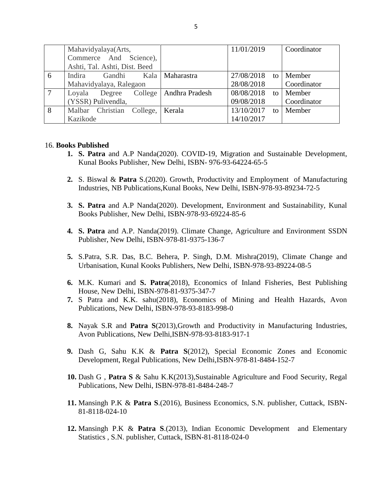|                | Mahavidyalaya(Arts,           |                          | 11/01/2019                  | Coordinator |
|----------------|-------------------------------|--------------------------|-----------------------------|-------------|
|                | Commerce And Science),        |                          |                             |             |
|                | Ashti, Tal. Ashti, Dist. Beed |                          |                             |             |
| 6              | Indira<br>Gandhi              | Kala   Maharastra        | 27/08/2018<br>to            | Member      |
|                | Mahavidyalaya, Ralegaon       |                          | 28/08/2018                  | Coordinator |
| $\overline{7}$ | Degree<br>Loyala              | College   Andhra Pradesh | 08/08/2018<br>to            | Member      |
|                | (YSSR) Pulivendla,            |                          | 09/08/2018                  | Coordinator |
| 8              | Malbar Christian<br>College,  | Kerala                   | 13/10/2017<br>$\mathsf{to}$ | Member      |
|                | Kazikode                      |                          | 14/10/2017                  |             |

### 16. **Books Published**

- **1. S. Patra** and A.P Nanda(2020). COVID-19, Migration and Sustainable Development, Kunal Books Publisher, New Delhi, ISBN- 976-93-64224-65-5
- **2.** S. Biswal & **Patra** S.(2020). Growth, Productivity and Employment of Manufacturing Industries, NB Publications,Kunal Books, New Delhi, ISBN-978-93-89234-72-5
- **3. S. Patra** and A.P Nanda(2020). Development, Environment and Sustainability, Kunal Books Publisher, New Delhi, ISBN-978-93-69224-85-6
- **4. S. Patra** and A.P. Nanda(2019). Climate Change, Agriculture and Environment SSDN Publisher, New Delhi, ISBN-978-81-9375-136-7
- **5.** S.Patra, S.R. Das, B.C. Behera, P. Singh, D.M. Mishra(2019), Climate Change and Urbanisation, Kunal Kooks Publishers, New Delhi, ISBN-978-93-89224-08-5
- **6.** M.K. Kumari and **S. Patra**(2018), Economics of Inland Fisheries, Best Publishing House, New Delhi, ISBN-978-81-9375-347-7
- **7.** S Patra and K.K. sahu(2018), Economics of Mining and Health Hazards, Avon Publications, New Delhi, ISBN-978-93-8183-998-0
- **8.** Nayak S.R and **Patra S**(2013),Growth and Productivity in Manufacturing Industries, Avon Publications, New Delhi,ISBN-978-93-8183-917-1
- **9.** Dash G, Sahu K.K & **Patra S**(2012), Special Economic Zones and Economic Development, Regal Publications, New Delhi,ISBN-978-81-8484-152-7
- **10.** Dash G , **Patra S** & Sahu K.K(2013),Sustainable Agriculture and Food Security, Regal Publications, New Delhi, ISBN-978-81-8484-248-7
- **11.** Mansingh P.K & **Patra S**.(2016), Business Economics, S.N. publisher, Cuttack, ISBN-81-8118-024-10
- **12.** Mansingh P.K & **Patra S**.(2013), Indian Economic Development and Elementary Statistics , S.N. publisher, Cuttack, ISBN-81-8118-024-0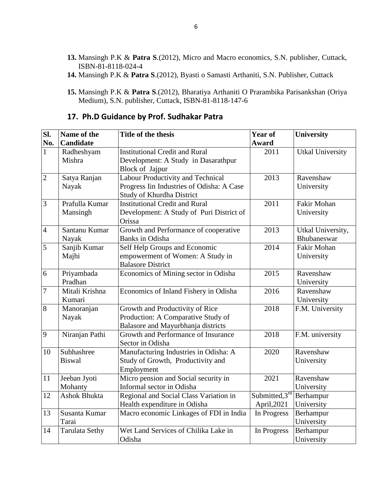- **13.** Mansingh P.K & **Patra S**.(2012), Micro and Macro economics, S.N. publisher, Cuttack, ISBN-81-8118-024-4
- **14.** Mansingh P.K & **Patra S**.(2012), Byasti o Samasti Arthaniti, S.N. Publisher, Cuttack
- **15.** Mansingh P.K & **Patra S**.(2012), Bharatiya Arthaniti O Prarambika Parisankshan (Oriya Medium), S.N. publisher, Cuttack, ISBN-81-8118-147-6

| $\overline{\text{SL}}$ | Name of the           | <b>Title of the thesis</b>                | <b>Year of</b>             | <b>University</b>       |
|------------------------|-----------------------|-------------------------------------------|----------------------------|-------------------------|
| No.                    | Candidate             |                                           | <b>Award</b>               |                         |
| $\mathbf{1}$           | Radheshyam            | <b>Institutional Credit and Rural</b>     | 2011                       | <b>Utkal University</b> |
|                        | Mishra                | Development: A Study in Dasarathpur       |                            |                         |
|                        |                       | Block of Jajpur                           |                            |                         |
| $\overline{2}$         | Satya Ranjan          | <b>Labour Productivity and Technical</b>  | 2013                       | Ravenshaw               |
|                        | Nayak                 | Progress Iin Industries of Odisha: A Case |                            | University              |
|                        |                       | Study of Khurdha District                 |                            |                         |
| $\overline{3}$         | Prafulla Kumar        | <b>Institutional Credit and Rural</b>     | 2011                       | Fakir Mohan             |
|                        | Mansingh              | Development: A Study of Puri District of  |                            | University              |
|                        |                       | Orissa                                    |                            |                         |
| $\overline{4}$         | Santanu Kumar         | Growth and Performance of cooperative     | 2013                       | Utkal University,       |
|                        | Nayak                 | <b>Banks</b> in Odisha                    |                            | Bhubaneswar             |
| 5                      | Sanjib Kumar          | Self Help Groups and Economic             | 2014                       | Fakir Mohan             |
|                        | Majhi                 | empowerment of Women: A Study in          |                            | University              |
|                        |                       | <b>Balasore District</b>                  |                            |                         |
| 6                      | Priyambada            | Economics of Mining sector in Odisha      | 2015                       | Ravenshaw               |
|                        | Pradhan               |                                           |                            | University              |
| $\overline{7}$         | Mitali Krishna        | Economics of Inland Fishery in Odisha     | 2016                       | Ravenshaw               |
|                        | Kumari                |                                           |                            | University              |
| $\overline{8}$         | Manoranjan            | Growth and Productivity of Rice           | 2018                       | F.M. University         |
|                        | Nayak                 | Production: A Comparative Study of        |                            |                         |
|                        |                       | Balasore and Mayurbhanja districts        |                            |                         |
| $\overline{9}$         | Niranjan Pathi        | Growth and Performance of Insurance       | 2018                       | F.M. university         |
|                        |                       | Sector in Odisha                          |                            |                         |
| 10                     | Subhashree            | Manufacturing Industries in Odisha: A     | 2020                       | Ravenshaw               |
|                        | <b>Biswal</b>         | Study of Growth, Productivity and         |                            | University              |
|                        |                       | Employment                                |                            |                         |
| 11                     | Jeeban Jyoti          | Micro pension and Social security in      | 2021                       | Ravenshaw               |
|                        | Mohanty               | Informal sector in Odisha                 |                            | University              |
| 12                     | <b>Ashok Bhukta</b>   | Regional and Social Class Variation in    | Submitted, $3^{\text{rd}}$ | Berhampur               |
|                        |                       | Health expenditure in Odisha              | April, 2021                | University              |
| 13                     | Susanta Kumar         | Macro economic Linkages of FDI in India   | In Progress                | Berhampur               |
|                        | Tarai                 |                                           |                            | University              |
| 14                     | <b>Tarulata Sethy</b> | Wet Land Services of Chilika Lake in      | In Progress                | Berhampur               |
|                        |                       | Odisha                                    |                            | University              |

## **17. Ph.D Guidance by Prof. Sudhakar Patra**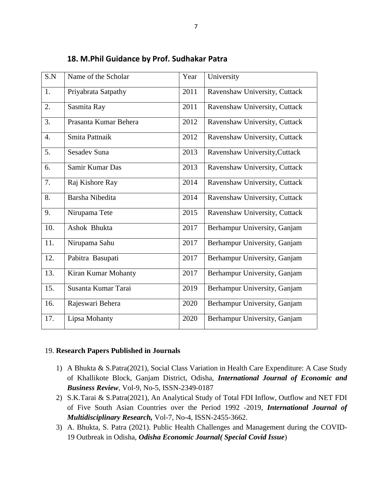| S.N              | Name of the Scholar   | Year | University                    |
|------------------|-----------------------|------|-------------------------------|
| 1.               | Priyabrata Satpathy   | 2011 | Ravenshaw University, Cuttack |
| 2.               | Sasmita Ray           | 2011 | Ravenshaw University, Cuttack |
| 3.               | Prasanta Kumar Behera | 2012 | Ravenshaw University, Cuttack |
| $\overline{4}$ . | Smita Pattnaik        | 2012 | Ravenshaw University, Cuttack |
| 5.               | <b>Sesadev Suna</b>   | 2013 | Ravenshaw University, Cuttack |
| 6.               | Samir Kumar Das       | 2013 | Ravenshaw University, Cuttack |
| 7.               | Raj Kishore Ray       | 2014 | Ravenshaw University, Cuttack |
| 8.               | Barsha Nibedita       | 2014 | Ravenshaw University, Cuttack |
| 9.               | Nirupama Tete         | 2015 | Ravenshaw University, Cuttack |
| 10.              | Ashok Bhukta          | 2017 | Berhampur University, Ganjam  |
| 11.              | Nirupama Sahu         | 2017 | Berhampur University, Ganjam  |
| 12.              | Pabitra Basupati      | 2017 | Berhampur University, Ganjam  |
| 13.              | Kiran Kumar Mohanty   | 2017 | Berhampur University, Ganjam  |
| 15.              | Susanta Kumar Tarai   | 2019 | Berhampur University, Ganjam  |
| 16.              | Rajeswari Behera      | 2020 | Berhampur University, Ganjam  |
| 17.              | Lipsa Mohanty         | 2020 | Berhampur University, Ganjam  |

**18. M.Phil Guidance by Prof. Sudhakar Patra**

## 19. **Research Papers Published in Journals**

- 1) A Bhukta & S.Patra(2021), Social Class Variation in Health Care Expenditure: A Case Study of Khallikote Block, Ganjam District, Odisha, *International Journal of Economic and Business Review*, Vol-9, No-5, ISSN-2349-0187
- 2) S.K.Tarai & S.Patra(2021), An Analytical Study of Total FDI Inflow, Outflow and NET FDI of Five South Asian Countries over the Period 1992 -2019, *International Journal of Multidisciplinary Research,* Vol-7, No-4, ISSN-2455-3662.
- 3) A. Bhukta, S. Patra (2021). Public Health Challenges and Management during the COVID-19 Outbreak in Odisha, *Odisha Economic Journal( Special Covid Issue*)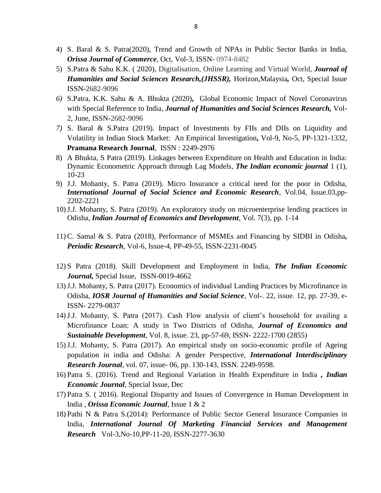- 4) S. Baral & S. Patra(2020), Trend and Growth of NPAs in Public Sector Banks in India, *Orissa Journal of Commerce*, Oct, Vol-3, ISSN- 0974-8482
- 5) S.Patra & Sahu K.K. ( 2020), Digitalisation, Online Learning and Virtual World, *Journal of Humanities and Social Sciences Research,(JHSSR),* Horizon,Malaysia*,* Oct, Special Issue ISSN*-*2682-9096
- *6)* S.Patra, K.K. Sahu & A. Bhukta (2020)**,** [Global Economic Impact of Novel Coronavirus](https://horizon-jhssr.com/view-issue.php?id=37)  [with Special Reference to India,](https://horizon-jhssr.com/view-issue.php?id=37) *Journal of Humanities and Social Sciences Research,* Vol-2, June, ISSN*-*2682-9096
- *7)* S. Baral & S.Patra (2019). [Impact of Investments by FIIs and DIIs on Liquidity and](https://www.pramanaresearch.org/gallery/prj-p1247.pdf)  [Volatility in Indian Stock Market:](https://www.pramanaresearch.org/gallery/prj-p1247.pdf) An Empirical Investigation**,** Vol-9, No-5, PP-1321-1332, **Pramana Research Journal**, ISSN : 2249-2976
- 8) A Bhukta, S Patra (2019). [Linkages between Expenditure on Health and Education in India:](javascript:void(0))  [Dynamic Econometric Approach through Lag Models,](javascript:void(0)) *The Indian economic journal* 1 (1), 10-23
- 9) J.J. Mohanty, S. Patra (2019). Micro Insurance a critical need for the poor in Odisha, *International Journal of Social Science and Economic Research*, Vol.04, Issue.03,pp-2202-2221
- 10)J.J. Mohanty, S. Patra (2019). An exploratory study on microenterprise lending practices in Odisha, *Indian Journal of Economics and Development*, Vol. 7(3), pp. 1-14
- 11)C. Samal & S. Patra (2018), Performance of MSMEs and Financing by SIDBI in Odisha*, Periodic Research*, Vol-6, Issue-4, PP-49-55, ISSN-2231-0045
- 12) S Patra (2018). Skill Development and Employment in India, *The Indian Economic Journal,* Special Issue, ISSN-0019-4662
- 13)J.J. Mohanty, S. Patra (2017). Economics of individual Landing Practices by Microfinance in Odisha, *IOSR Journal of Humanities and Social Science*, Vol-. 22, issue. 12, pp. 27-39, e-ISSN- 2279-0837
- 14)J.J. Mohanty, S. Patra (2017). Cash Flow analysis of client's household for availing a Microfinance Loan: A study in Two Districts of Odisha, *Journal of Economics and Sustainable Development*, Vol. 8, issue. 23, pp-57-69, ISSN- 2222-1700 (2855)
- 15)J.J. Mohanty, S. Patra (2017). An empirical study on socio-economic profile of Ageing population in india and Odisha: A gender Perspective, *International Interdisciplinary Research Journal*, vol. 07, issue- 06, pp. 130-143, ISSN. 2249-9598.
- 16) Patra S. (2016). Trend and Regional Variation in Health Expenditure in India *, Indian Economic Journal*, Special Issue, Dec
- 17) Patra S. ( 2016). Regional Disparity and Issues of Convergence in Human Development in India , *Orissa Economic Journal*, Issue 1 & 2
- 18) Pathi N & Patra S.(2014): Performance of Public Sector General Insurance Companies in India, *International Journal Of Marketing Financial Services and Management Research* Vol-3,No-10,PP-11-20, ISSN-2277-3630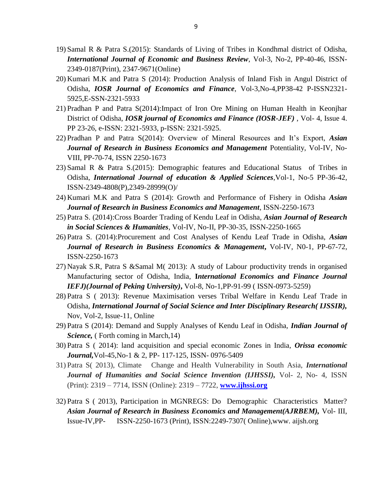- 19) Samal R & Patra S.(2015): Standards of Living of Tribes in Kondhmal district of Odisha, *International Journal of Economic and Business Review*, Vol-3, No-2, PP-40-46, ISSN-2349-0187(Print), 2347-9671(Online)
- 20) Kumari M.K and Patra S (2014): Production Analysis of Inland Fish in Angul District of Odisha, *IOSR Journal of Economics and Finance*, Vol-3,No-4,PP38-42 P-ISSN2321- 5925,E-SSN-2321-5933
- 21) Pradhan P and Patra S(2014):Impact of Iron Ore Mining on Human Health in Keonjhar District of Odisha, *IOSR journal of Economics and Finance (IOSR-JEF)* , Vol- 4, Issue 4. PP 23-26, e-ISSN: 2321-5933, p-ISSN: 2321-5925.
- 22) Pradhan P and Patra S(2014): Overview of Mineral Resources and It's Export, *Asian Journal of Research in Business Economics and Management* Potentiality, Vol-IV, No-VIII, PP-70-74, ISSN 2250-1673
- 23) Samal R & Patra S.(2015): Demographic features and Educational Status of Tribes in Odisha, *International Journal of education & Applied Sciences*,Vol-1, No-5 PP-36-42, ISSN-2349-4808(P),2349-28999(O)/
- 24) Kumari M.K and Patra S (2014): Growth and Performance of Fishery in Odisha *Asian Journal of Research in Business Economics and Management*, ISSN-2250-1673
- 25) Patra S. (2014):Cross Boarder Trading of Kendu Leaf in Odisha, *Asian Journal of Research in Social Sciences & Humanities*, Vol-IV, No-II, PP-30-35, ISSN-2250-1665
- 26) Patra S. (2014):Procurement and Cost Analyses of Kendu Leaf Trade in Odisha, *Asian Journal of Research in Business Economics & Management***,** Vol-IV, N0-1, PP-67-72, ISSN-2250-1673
- 27) Nayak S.R, Patra S &Samal M( 2013): A study of Labour productivity trends in organised Manufacturing sector of Odisha, India, **I***nternational Economics and Finance Journal IEFJ)(Journal of Peking University)***,** Vol-8, No-1,PP-91-99 ( ISSN-0973-5259)
- 28) Patra S ( 2013): Revenue Maximisation verses Tribal Welfare in Kendu Leaf Trade in Odisha, *International Journal of Social Science and Inter Disciplinary Research( IJSSIR),* Nov, Vol-2, Issue-11, Online
- 29) Patra S (2014): Demand and Supply Analyses of Kendu Leaf in Odisha, *Indian Journal of Science,* ( Forth coming in March,14)
- 30) Patra S ( 2014): land acquisition and special economic Zones in India, *Orissa economic Journal,*Vol-45,No-1 & 2, PP- 117-125, ISSN- 0976-5409
- 31) Patra S( 2013), Climate Change and Health Vulnerability in South Asia, *International Journal of Humanities and Social Science Invention (IJHSSI),* Vol- 2, No- 4, ISSN (Print): 2319 – 7714, ISSN (Online): 2319 – 7722, **[www.ijhssi.org](http://www.ijhssi.org/)**
- 32) Patra S ( 2013), Participation in MGNREGS: Do Demographic Characteristics Matter? *Asian Journal of Research in Business Economics and Management(AJRBEM),* Vol- III, Issue-IV,PP- ISSN-2250-1673 (Print), ISSN:2249-7307( Online),www. aijsh.org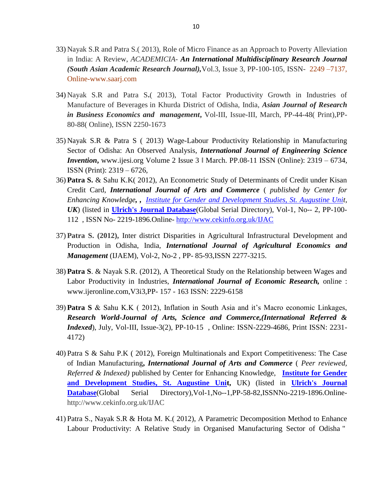- 33) Nayak S.R and Patra S.( 2013), Role of Micro Finance as an Approach to Poverty Alleviation in India: A Review, *ACADEMICIA- An International Multidisciplinary Research Journal (South Asian Academic Research Journal),*Vol.3, Issue 3, PP-100-105, ISSN- 2249 –7137, Online-www.saarj.com
- 34) Nayak S.R and Patra S**.**( 2013), Total Factor Productivity Growth in Industries of Manufacture of Beverages in Khurda District of Odisha, India, *Asian Journal of Research in Business Economics and management***,** Vol-III, Issue-III, March, PP-44-48( Print),PP-80-88( Online), ISSN 2250-1673
- 35) Nayak S.R & Patra S ( 2013) Wage-Labour Productivity Relationship in Manufacturing Sector of Odisha: An Observed Analysis, *International Journal of Engineering Science Invention*, www.ijesi.org Volume 2 Issue  $3 \text{ N}$  March. PP.08-11 ISSN (Online):  $2319 - 6734$ , ISSN (Print): 2319 – 6726,
- 36) **Patra S.** & Sahu K.K( 2012), An Econometric Study of Determinants of Credit under Kisan Credit Card, *International Journal of Arts and Commerce* ( *published by Center for Enhancing Knowledge, , [Institute for Gender and Development Studies, St. Augustine Unit](http://www.facebook.com/IGDSStAugustineUnit), UK*) (listed in **[Ulrich's Journal Database](http://ulrichsweb.serialssolutions.com/login)**(Global Serial Directory), Vol-1, No-- 2, PP-100- 112 , ISSN No- 2219-1896.Online- <http://www.cekinfo.org.uk/IJAC>
- 37) **Patra S. (2012),** Inter district Disparities in Agricultural Infrastructural Development and Production in Odisha, India, *International Journal of Agricultural Economics and Management* (IJAEM), Vol-2, No-2 , PP- 85-93,ISSN 2277-3215.
- 38) **Patra S**. & Nayak S.R. (2012), A Theoretical Study on the Relationship between Wages and Labor Productivity in Industries, *International Journal of Economic Research,* online : www.ijeronline.com,V3i3,PP- 157 - 163 ISSN: 2229-6158
- 39) **Patra S** & Sahu K.K ( 2012), Inflation in South Asia and it's Macro economic Linkages, *Research World-Journal of Arts, Science and Commerce,(International Referred & Indexed*), July, Vol-III, Issue-3(2), PP-10-15 , Online: ISSN-2229-4686, Print ISSN: 2231- 4172)
- 40) Patra S & Sahu P.K ( 2012), Foreign Multinationals and Export Competitiveness: The Case of Indian Manufacturing**,** *International Journal of Arts and Commerce* ( *Peer reviewed, Referred & Indexed)* published by Center for Enhancing Knowledge, **[Institute for Gender](http://www.facebook.com/IGDSStAugustineUnit)  [and Development Studies, St. Augustine Unit](http://www.facebook.com/IGDSStAugustineUnit),** UK) (listed in **[Ulrich's Journal](http://ulrichsweb.serialssolutions.com/login)  [Database](http://ulrichsweb.serialssolutions.com/login)**(Global Serial Directory),Vol-1,No--1,PP-58-82,ISSNNo-2219-1896.Onlinehttp://www.cekinfo.org.uk/IJAC
- 41) Patra S., Nayak S.R & Hota M. K.( 2012), A Parametric Decomposition Method to Enhance Labour Productivity: A Relative Study in Organised Manufacturing Sector of Odisha "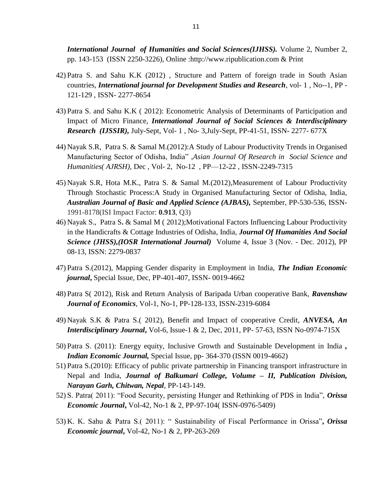*International Journal of Humanities and Social Sciences(IJHSS).* Volume 2, Number 2, pp. 143-153 (ISSN 2250-3226), Online :http://www.ripublication.com & Print

- 42) Patra S. and Sahu K.K (2012) , Structure and Pattern of foreign trade in South Asian countries, *International journal for Development Studies and Research*, vol- 1 , No--1, PP - 121-129 , ISSN- 2277-8654
- 43) Patra S. and Sahu K.K ( 2012): Econometric Analysis of Determinants of Participation and Impact of Micro Finance, *International Journal of Social Sciences & Interdisciplinary Research (IJSSIR),* July-Sept, Vol- 1 , No- 3,July-Sept, PP-41-51, ISSN- 2277- 677X
- 44) Nayak S.R, Patra S. & Samal M.(2012):A Study of Labour Productivity Trends in Organised Manufacturing Sector of Odisha, India" ,*Asian Journal Of Research in Social Science and Humanities( AJRSH),* Dec , Vol- 2, No-12 , PP—12-22 , ISSN-2249-7315
- 45) Nayak S.R, Hota M.K., Patra S. & Samal M.(2012),Measurement of Labour Productivity Through Stochastic Process:A Study in Organised Manufacturing Sector of Odisha, India, *Australian Journal of Basic and Applied Science (AJBAS),* September, PP-530-536, ISSN-1991-8178(ISI Impact Factor: **0.913**, Q3)
- 46) Nayak S., Patra S**.** & Samal M ( 2012);Motivational Factors Influencing Labour Productivity in the Handicrafts & Cottage Industries of Odisha, India, *Journal Of Humanities And Social Science (JHSS),(IOSR International Journal)* Volume 4, Issue 3 (Nov. - Dec. 2012), PP 08-13, ISSN: 2279-0837
- 47) Patra S.(2012), Mapping Gender disparity in Employment in India, *The Indian Economic journal***,** Special Issue, Dec, PP-401-407, ISSN- 0019-4662
- 48) Patra S( 2012), Risk and Return Analysis of Baripada Urban cooperative Bank, *Ravenshaw Journal of Economics*, Vol-1, No-1, PP-128-133, ISSN-2319-6084
- 49) Nayak S.K & Patra S.( 2012), Benefit and Impact of cooperative Credit, *ANVESA, An Interdisciplinary Journal***,** Vol-6, Issue-1 & 2, Dec, 2011, PP- 57-63, ISSN No-0974-715X
- 50) Patra S. (2011): Energy equity, Inclusive Growth and Sustainable Development in India *, Indian Economic Journal,* Special Issue, pp- 364-370 (ISSN 0019-4662)
- 51) Patra S.(2010): Efficacy of public private partnership in Financing transport infrastructure in Nepal and India, *Journal of Balkumari College, Volume – II, Publication Division, Narayan Garh, Chitwan, Nepal*, PP-143-149.
- 52) S. Patra( 2011): "Food Security, persisting Hunger and Rethinking of PDS in India", *Orissa Economic Journal***,** Vol-42, No-1 & 2, PP-97-104( ISSN-0976-5409)
- 53) K. K. Sahu & Patra S.( 2011): " Sustainability of Fiscal Performance in Orissa"**,** *Orissa Economic journal***,** Vol-42, No-1 & 2, PP-263-269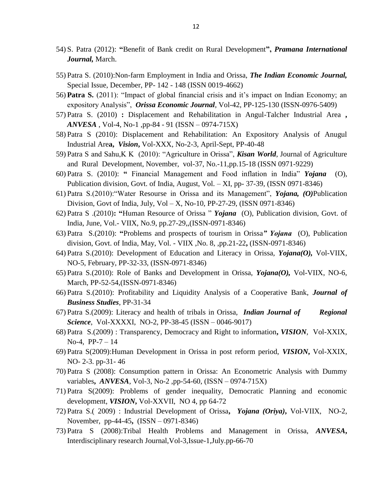- 54) S. Patra (2012): **"**Benefit of Bank credit on Rural Development**",** *Pramana International Journal,* March.
- 55) Patra S. (2010):Non-farm Employment in India and Orissa, *The Indian Economic Journal,* Special Issue, December, PP- 142 - 148 (ISSN 0019-4662)
- 56) **Patra S.** (2011): "Impact of global financial crisis and it's impact on Indian Economy; an expository Analysis", *Orissa Economic Journal*, Vol-42, PP-125-130 (ISSN-0976-5409)
- 57) Patra S. (2010) **:** Displacement and Rehabilitation in Angul-Talcher Industrial Area **,**  *ANVESA* , Vol-4, No-1 ,pp-84 - 91 (ISSN – 0974-715X)
- 58) Patra S (2010): Displacement and Rehabilitation: An Expository Analysis of Anugul Industrial Are**a,** *Vision***,** Vol-XXX, No-2-3, April-Sept, PP-40-48
- 59) Patra S and Sahu,K K (2010): "Agriculture in Orissa", *Kisan World*, Journal of Agriculture and Rural Development, November, vol-37, No.-11,pp.15-18 (ISSN 0971-9229)
- 60) Patra S. (2010): **"** Financial Management and Food inflation in India" *Yojana*(O), Publication division, Govt. of India, August, Vol. – XI, pp- 37-39, (ISSN 0971-8346)
- 61) Patra S.(2010):"Water Resourse in Orissa and its Management", *Yojana, (O)*Publication Division, Govt of India, July, Vol – X, No-10, PP-27-29, (ISSN 0971-8346)
- 62) Patra S .(2010)**: "**Human Resource of Orissa " *Yojana*(O), Publication division, Govt. of India, June, Vol.- VIIX, No.9, pp.27-29,,(ISSN-0971-8346)
- 63) Patra S.(2010): **"**Problems and prospects of tourism in Orissa*" Yojana*(O), Publication division, Govt. of India, May, Vol. - VIIX ,No. 8, ,pp.21-22**,** (ISSN-0971-8346)
- 64) Patra S.(2010): Development of Education and Literacy in Orissa, *Yojana(O),* Vol-VIIX, NO-5, February, PP-32-33, (ISSN-0971-8346)
- 65) Patra S.(2010): Role of Banks and Development in Orissa, *Yojana(O),* Vol-VIIX, NO-6, March, PP-52-54,(ISSN-0971-8346)
- 66) Patra S.(2010): Profitability and Liquidity Analysis of a Cooperative Bank, *Journal of Business Studies*, PP-31-34
- 67) Patra S.(2009): Literacy and health of tribals in Orissa, *Indian Journal of Regional Science*, Vol-XXXXI, NO-2, PP-38-45 (ISSN – 0046-9017)
- 68) Patra S.(2009) : Transparency, Democracy and Right to information**,** *VISION*, Vol-XXIX, No-4,  $PP-7-14$
- 69) Patra S(2009):Human Development in Orissa in post reform period, *VISION***,** Vol-XXIX, NO- 2-3. pp-31- 46
- 70) Patra S (2008): Consumption pattern in Orissa: An Econometric Analysis with Dummy variables**,** *ANVESA*, Vol-3, No-2 ,pp-54-60, (ISSN – 0974-715X)
- 71) Patra S(2009): Problems of gender inequality, Democratic Planning and economic development, *VISION***,** Vol-XXVII, NO 4, pp 64-72
- 72) Patra S.( 2009) : Industrial Development of Orissa**,** *Yojana (Oriya)***,** Vol-VIIX, NO-2, November, pp-44-45**,** (ISSN – 0971-8346)
- 73) Patra S (2008):Tribal Health Problems and Management in Orissa, *ANVESA***,** Interdisciplinary research Journal,Vol-3,Issue-1,July.pp-66-70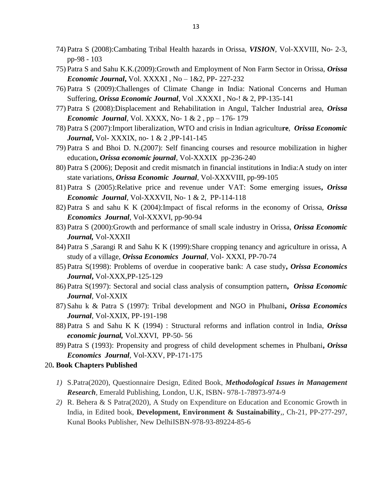- 74) Patra S (2008):Cambating Tribal Health hazards in Orissa, *VISION*, Vol-XXVIII, No- 2-3, pp-98 - 103
- 75) Patra S and Sahu K.K.(2009):Growth and Employment of Non Farm Sector in Orissa, *Orissa Economic Journal***,** Vol. XXXXI , No – 1&2, PP- 227-232
- 76) Patra S (2009):Challenges of Climate Change in India: National Concerns and Human Suffering, *Orissa Economic Journal*, Vol .XXXXI , No-! & 2, PP-135-141
- 77) Patra S (2008):Displacement and Rehabilitation in Angul, Talcher Industrial area, *Orissa Economic Journal*, Vol. XXXX, No- 1 & 2 , pp – 176- 179
- 78) Patra S (2007):Import liberalization, WTO and crisis in Indian agricultu**re**, *Orissa Economic Journal***,** Vol- XXXIX, no- 1 & 2 ,PP-141-145
- 79) Patra S and Bhoi D. N.(2007): Self financing courses and resource mobilization in higher education**,** *Orissa economic journal*, Vol-XXXIX pp-236-240
- 80) Patra S (2006); Deposit and credit mismatch in financial institutions in India:A study on inter state variations, *Orissa Economic Journal*, Vol-XXXVIII, pp-99-105
- 81) Patra S (2005):Relative price and revenue under VAT: Some emerging issues**,** *Orissa Economic Journal*, Vol-XXXVII, No- 1 & 2, PP-114-118
- 82) Patra S and sahu K K (2004):Impact of fiscal reforms in the economy of Orissa, *Orissa Economics Journal*, Vol-XXXVI, pp-90-94
- 83) Patra S (2000):Growth and performance of small scale industry in Orissa, *Orissa Economic Journal,* Vol-XXXII
- 84) Patra S ,Sarangi R and Sahu K K (1999):Share cropping tenancy and agriculture in orissa, A study of a village, *Orissa Economics Journal*, Vol- XXXI, PP-70-74
- 85) Patra S(1998): Problems of overdue in cooperative bank: A case study**,** *Orissa Economics Journal***,** Vol-XXX,PP-125-129
- 86) Patra S(1997): Sectoral and social class analysis of consumption pattern**,** *Orissa Economic Journal*, Vol-XXIX
- 87) Sahu k & Patra S (1997): Tribal development and NGO in Phulbani**,** *Orissa Economics Journal*, Vol-XXIX, PP-191-198
- 88) Patra S and Sahu K K (1994) : Structural reforms and inflation control in India, *Orissa economic journal,* Vol.XXVI, PP-50- 56
- 89) Patra S (1993): Propensity and progress of child development schemes in Phulbani**,** *Orissa Economics Journal*, Vol-XXV, PP-171-175

## 20**. Book Chapters Published**

- *1)* S.Patra(2020), Questionnaire Design, Edited Book, *Methodological Issues in Management Research,* Emerald Publishing, London, U.K, ISBN- 978-1-78973-974-9
- *2)* R. Behera & S Patra(2020), A Study on Expenditure on Education and Economic Growth in India, in Edited book, **Development, Environment & Sustainability**,, Ch-21, PP-277-297, Kunal Books Publisher, New DelhiISBN-978-93-89224-85-6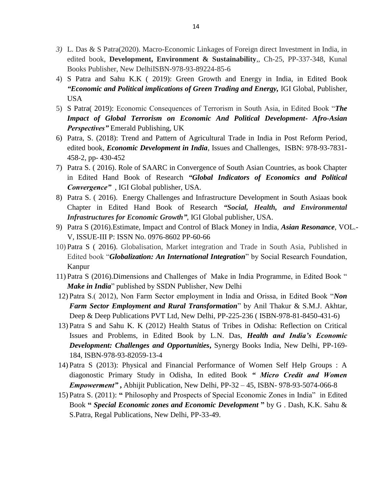- *3)* L. Das & S Patra(2020). Macro-Economic Linkages of Foreign direct Investment in India, in edited book, **Development, Environment & Sustainability**,, Ch-25, PP-337-348, Kunal Books Publisher, New DelhiISBN-978-93-89224-85-6
- 4) S Patra and Sahu K.K ( 2019): Green Growth and Energy in India, in Edited Book *"Economic and Political implications of Green Trading and Energy,* IGI Global, Publisher, USA
- 5) S Patra( 2019): Economic Consequences of Terrorism in South Asia, in Edited Book "*The Impact of Global Terrorism on Economic And Political Development- Afro-Asian Perspectives"* Emerald Publishing, UK
- 6) Patra, S. (2018): Trend and Pattern of Agricultural Trade in India in Post Reform Period, edited book, *Economic Development in India*, Issues and Challenges, ISBN: 978-93-7831- 458-2, pp- 430-452
- 7) Patra S. ( 2016). Role of SAARC in Convergence of South Asian Countries, as book Chapter in Edited Hand Book of Research *"Global Indicators of Economics and Political Convergence"* , IGI Global publisher, USA.
- 8) Patra S. ( 2016). Energy Challenges and Infrastructure Development in South Asiaas book Chapter in Edited Hand Book of Research *"Social, Health, and Environmental Infrastructures for Economic Growth"*, IGI Global publisher, USA.
- 9) Patra S (2016).Estimate, Impact and Control of Black Money in India, *Asian Resonance*, VOL.- V, ISSUE-III P: ISSN No. 0976-8602 PP-60-66
- 10) Patra S ( 2016). Globalisation, Market integration and Trade in South Asia, Published in Edited book "*Globalization: An International Integration*" by Social Research Foundation, Kanpur
- 11) Patra S (2016).Dimensions and Challenges of Make in India Programme, in Edited Book " *Make in India*" published by SSDN Publisher, New Delhi
- 12) Patra S.( 2012), Non Farm Sector employment in India and Orissa, in Edited Book "*Non Farm Sector Employment and Rural Transformation*" by Anil Thakur & S.M.J. Akhtar, Deep & Deep Publications PVT Ltd, New Delhi, PP-225-236 ( ISBN-978-81-8450-431-6)
- 13) Patra S and Sahu K. K (2012) Health Status of Tribes in Odisha: Reflection on Critical Issues and Problems, in Edited Book by L.N. Das, *Health and India's Economic Development: Challenges and Opportunities***,** Synergy Books India, New Delhi, PP-169- 184, ISBN-978-93-82059-13-4
- 14) Patra S (2013): Physical and Financial Performance of Women Self Help Groups : A diagonostic Primary Study in Odisha, In edited Book *" Micro Credit and Women Empowerment"* **,** Abhijit Publication, New Delhi, PP-32 – 45, ISBN- 978-93-5074-066-8
- 15) Patra S. (2011): **"** Philosophy and Prospects of Special Economic Zones in India"in Edited Book **"** *Special Economic zones and Economic Development* **"** by G . Dash, K.K. Sahu & S.Patra, Regal Publications, New Delhi, PP-33-49.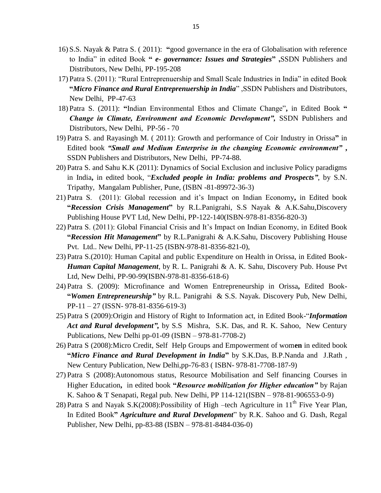- 16) S.S. Nayak & Patra S. ( 2011): **"**good governance in the era of Globalisation with reference to India" in edited Book **"** *e- governance: Issues and Strategies***" ,**SSDN Publishers and Distributors, New Delhi, PP-195-208
- 17) Patra S. (2011): "Rural Entreprenuership and Small Scale Industries in India" in edited Book **"***Micro Finance and Rural Entreprenuership in India*" ,SSDN Publishers and Distributors, New Delhi, PP-47-63
- 18) Patra S. (2011): **"**Indian Environmental Ethos and Climate Change"**,** in Edited Book **"**  *Change in Climate, Environment and Economic Development",* SSDN Publishers and Distributors, New Delhi, PP-56 - 70
- 19) Patra S. and Rayasingh M. ( 2011): Growth and performance of Coir Industry in Orissa**"** in Edited book *"Small and Medium Enterprise in the changing Economic environment"* **,**  SSDN Publishers and Distributors, New Delhi, PP-74-88.
- 20) Patra S. and Sahu K.K (2011): Dynamics of Social Exclusion and inclusive Policy paradigms in India**,** in edited book, "*Excluded people in India: problems and Prospects"*, by S.N. Tripathy, Mangalam Publisher, Pune, (ISBN -81-89972-36-3)
- 21) Patra S. (2011): Global recession and it's Impact on Indian Economy**,** in Edited book **"***Recession Crisis Management***"** by R.L.Panigrahi, S.S Nayak & A.K.Sahu,Discovery Publishing House PVT Ltd, New Delhi, PP-122-140(ISBN-978-81-8356-820-3)
- 22) Patra S. (2011): Global Financial Crisis and It's Impact on Indian Economy, in Edited Book **"***Recession Hit Management***"** by R.L.Panigrahi & A.K.Sahu, Discovery Publishing House Pvt. Ltd.. New Delhi, PP-11-25 (ISBN-978-81-8356-821-0),
- 23) Patra S.(2010): Human Capital and public Expenditure on Health in Orissa, in Edited Book**-***Human Capital Management*, by R. L. Panigrahi & A. K. Sahu, Discovery Pub. House Pvt Ltd, New Delhi, PP-90-99(ISBN-978-81-8356-618-6)
- 24) Patra S. (2009): Microfinance and Women Entrepreneurship in Orissa**,** Edited Book**- "***Women Entrepreneurship"* by R.L. Panigrahi & S.S. Nayak. Discovery Pub, New Delhi, PP-11 – 27 (ISSN- 978-81-8356-619-3)
- 25) Patra S (2009):Origin and History of Right to Information act, in Edited Book-"*Information Act and Rural development",* by S.S Mishra, S.K. Das, and R. K. Sahoo, New Century Publications, New Delhi pp-01-09 (ISBN – 978-81-7708-2)
- 26) Patra S (2008):Micro Credit, Self Help Groups and Empowerment of wom**en** in edited book **"***Micro Finance and Rural Development in India***"** by S.K.Das, B.P.Nanda and J.Rath , New Century Publication, New Delhi,pp-76-83 ( ISBN- 978-81-7708-187-9)
- 27) Patra S (2008):Autonomous status, Resource Mobilisation and Self financing Courses in Higher Education**,** in edited book **"***Resource mobilization for Higher education"* by Rajan K. Sahoo & T Senapati, Regal pub. New Delhi, PP 114-121(ISBN – 978-81-906553-0-9)
- 28) Patra S and Nayak S.K(2008): Possibility of High –tech Agriculture in  $11<sup>th</sup>$  Five Year Plan, In Edited Book**"** *Agriculture and Rural Development*" by R.K. Sahoo and G. Dash, Regal Publisher, New Delhi, pp-83-88 (ISBN – 978-81-8484-036-0)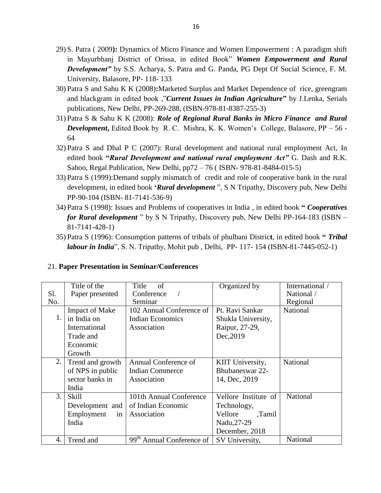- 29) S. Patra ( 2009**):** Dynamics of Micro Finance and Women Empowerment : A paradigm shift in Mayurbhanj District of Orissa, in edited Book" *Women Empowerment and Rural Development"* by S.S. Acharya, S. Patra and G. Panda, PG Dept Of Social Science, F. M. University, Balasore, PP- 118- 133
- 30) Patra S and Sahu K K (2008)**:**Marketed Surplus and Market Dependence of rice, greengram and blackgram in edited book ,"*Current Issues in Indian Agriculture***"** by J.Lenka, Serials publications, New Delhi, PP-269-288, (ISBN-978-81-8387-255-3)
- 31) Patra S & Sahu K K (2008): *Role of Regional Rural Banks in Micro Finance and Rural Development***,** Edited Book by R. C. Mishra, K. K. Women's College, Balasore, PP – 56 - 64
- 32) Patra S and Dhal P C (2007): Rural development and national rural employment Act, In edited book **"***Rural Development and national rural employment Act"* G. Dash and R.K. Sahoo, Regal Publication, New Delhi, pp72 – 76 ( ISBN- 978-81-8484-015-5)
- 33) Patra S (1999):Demand supply mismatch of credit and role of cooperative bank in the rural development, in edited book **'***Rural development* ", S N Tripathy, Discovery pub, New Delhi PP-90-104 (ISBN- 81-7141-536-9)
- 34) Patra S (1998): Issues and Problems of cooperatives in India , in edited book **"** *Cooperatives for Rural development* " by S N Tripathy, Discovery pub, New Delhi PP-164-183 (ISBN – 81-7141-428-1)
- 35) Patra S (1996): Consumption patterns of tribals of phulbani Distric**t**, in edited book **"** *Tribal labour in India*", S. N. Tripathy, Mohit pub, Delhi, PP- 117- 154 (ISBN-81-7445-052-1)

|  |  |  |  |  | 21. Paper Presentation in Seminar/Conferences |  |  |
|--|--|--|--|--|-----------------------------------------------|--|--|
|--|--|--|--|--|-----------------------------------------------|--|--|

|     | Title of the          | of<br>Title                              | Organized by           | International / |
|-----|-----------------------|------------------------------------------|------------------------|-----------------|
| Sl. | Paper presented       | Conference                               |                        | National /      |
|     |                       |                                          |                        |                 |
| No. |                       | Seminar                                  |                        | Regional        |
|     | <b>Impact of Make</b> | 102 Annual Conference of                 | Pt. Ravi Sankar        | <b>National</b> |
| 1.  | in India on           | <b>Indian Economics</b>                  | Shukla University,     |                 |
|     | International         | Association                              | Raipur, 27-29,         |                 |
|     | Trade and             |                                          | Dec, 2019              |                 |
|     | Economic              |                                          |                        |                 |
|     | Growth                |                                          |                        |                 |
| 2.  | Trend and growth      | Annual Conference of                     | KIIT University,       | National        |
|     | of NPS in public      | <b>Indian Commerce</b>                   | <b>Bhubaneswar 22-</b> |                 |
|     | sector banks in       | Association                              | 14, Dec, 2019          |                 |
|     | India                 |                                          |                        |                 |
| 3.  | Skill                 | 101th Annual Conference                  | Vellore Institute of   | National        |
|     | Development and       | of Indian Economic                       | Technology,            |                 |
|     | Employment<br>in      | Association                              | Vellore<br>Tamil.      |                 |
|     | India                 |                                          | Nadu, 27-29            |                 |
|     |                       |                                          | December, 2018         |                 |
| 4.  | Trend and             | 99 <sup>th</sup><br>Annual Conference of | SV University,         | National        |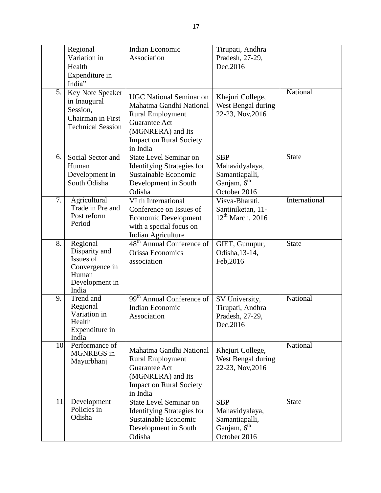|    | Regional<br>Variation in<br>Health<br>Expenditure in<br>India"                                | Indian Economic<br>Association                                                                                                                                                  | Tirupati, Andhra<br>Pradesh, 27-29,<br>Dec, 2016                                          |               |
|----|-----------------------------------------------------------------------------------------------|---------------------------------------------------------------------------------------------------------------------------------------------------------------------------------|-------------------------------------------------------------------------------------------|---------------|
| 5. | Key Note Speaker<br>in Inaugural<br>Session,<br>Chairman in First<br><b>Technical Session</b> | <b>UGC National Seminar on</b><br>Mahatma Gandhi National<br><b>Rural Employment</b><br><b>Guarantee Act</b><br>(MGNRERA) and Its<br><b>Impact on Rural Society</b><br>in India | Khejuri College,<br>West Bengal during<br>22-23, Nov, 2016                                | National      |
| 6. | Social Sector and<br>Human<br>Development in<br>South Odisha                                  | <b>State Level Seminar on</b><br><b>Identifying Strategies for</b><br>Sustainable Economic<br>Development in South<br>Odisha                                                    | <b>SBP</b><br>Mahavidyalaya,<br>Samantiapalli,<br>Ganjam, 6 <sup>th</sup><br>October 2016 | <b>State</b>  |
| 7. | Agricultural<br>Trade in Pre and<br>Post reform<br>Period                                     | VI th International<br>Conference on Issues of<br><b>Economic Development</b><br>with a special focus on<br>Indian Agriculture                                                  | Visva-Bharati,<br>Santiniketan, 11-<br>$12th$ March, 2016                                 | International |
| 8. | Regional<br>Disparity and<br>Issues of<br>Convergence in<br>Human<br>Development in<br>India  | 48 <sup>th</sup> Annual Conference of<br>Orissa Economics<br>association                                                                                                        | GIET, Gunupur,<br>Odisha, 13-14,<br>Feb, 2016                                             | <b>State</b>  |
| 9. | Trend and<br>Regional<br>Variation in<br>Health<br>Expenditure in<br>India                    | 99 <sup>th</sup> Annual Conference of<br>Indian Economic<br>Association                                                                                                         | SV University,<br>Tirupati, Andhra<br>Pradesh, 27-29,<br>Dec, 2016                        | National      |
| 10 | Performance of<br>MGNREGS in<br>Mayurbhanj                                                    | Mahatma Gandhi National<br><b>Rural Employment</b><br><b>Guarantee Act</b><br>(MGNRERA) and Its<br><b>Impact on Rural Society</b><br>in India                                   | Khejuri College,<br>West Bengal during<br>22-23, Nov, 2016                                | National      |
| 11 | Development<br>Policies in<br>Odisha                                                          | State Level Seminar on<br><b>Identifying Strategies for</b><br>Sustainable Economic<br>Development in South<br>Odisha                                                           | <b>SBP</b><br>Mahavidyalaya,<br>Samantiapalli,<br>Ganjam, 6 <sup>th</sup><br>October 2016 | <b>State</b>  |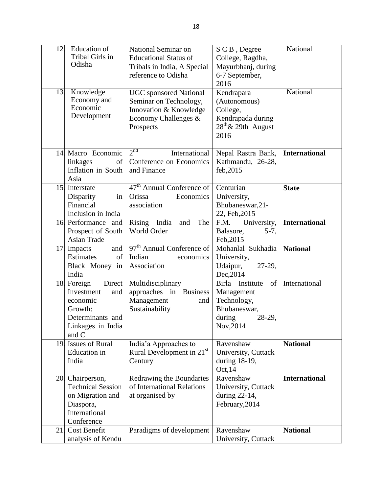| 12  | <b>Education</b> of               | National Seminar on                   | S C B, Degree                  | National             |
|-----|-----------------------------------|---------------------------------------|--------------------------------|----------------------|
|     | Tribal Girls in                   | <b>Educational Status of</b>          | College, Ragdha,               |                      |
|     | Odisha                            | Tribals in India, A Special           | Mayurbhanj, during             |                      |
|     |                                   | reference to Odisha                   | 6-7 September,                 |                      |
|     |                                   |                                       | 2016                           |                      |
| 13. | Knowledge                         | <b>UGC</b> sponsored National         | Kendrapara                     | National             |
|     | Economy and                       | Seminar on Technology,                | (Autonomous)                   |                      |
|     | Economic                          | Innovation & Knowledge                | College,                       |                      |
|     | Development                       | Economy Challenges &                  | Kendrapada during              |                      |
|     |                                   | Prospects                             | $28^{\text{th}}$ & 29th August |                      |
|     |                                   |                                       | 2016                           |                      |
|     |                                   | 2 <sup>nd</sup>                       |                                |                      |
|     | 14 Macro Economic                 | International                         | Nepal Rastra Bank,             | <b>International</b> |
|     | linkages<br>of                    | Conference on Economics               | Kathmandu, 26-28,              |                      |
|     | Inflation in South                | and Finance                           | feb, 2015                      |                      |
|     | Asia<br>15 Interstate             | 47 <sup>th</sup> Annual Conference of | Centurian                      | <b>State</b>         |
|     | in                                | Orissa<br>Economics                   | University,                    |                      |
|     | Disparity<br>Financial            | association                           | Bhubaneswar, 21-               |                      |
|     | Inclusion in India                |                                       | 22, Feb, 2015                  |                      |
|     | 16 Performance and                | Rising India<br>The<br>and            | F.M.<br>University,            | <b>International</b> |
|     | Prospect of South                 | World Order                           | Balasore,<br>$5 - 7$ ,         |                      |
|     | Asian Trade                       |                                       | Feb, 2015                      |                      |
|     | 17 Impacts<br>and                 | 97 <sup>th</sup> Annual Conference of | Mohanlal Sukhadia              | <b>National</b>      |
|     | Estimates<br>of                   | Indian<br>economics                   | University,                    |                      |
|     | Black Money in                    | Association                           | Udaipur,<br>$27-29$ ,          |                      |
|     | India                             |                                       | Dec, 2014                      |                      |
| 18. | Direct<br>Foreign                 | Multidisciplinary                     | Birla Institute<br>of          | International        |
|     | Investment<br>and                 | approaches in Business                | Management                     |                      |
|     | economic                          | Management<br>and                     | Technology,                    |                      |
|     | Growth:                           | Sustainability                        | Bhubaneswar,                   |                      |
|     | Determinants and                  |                                       | during<br>28-29,               |                      |
|     | Linkages in India                 |                                       | Nov, 2014                      |                      |
|     | and C                             |                                       |                                |                      |
|     | 19 Issues of Rural                | India'a Approaches to                 | Ravenshaw                      | <b>National</b>      |
|     | <b>Education</b> in               | Rural Development in 21 <sup>st</sup> | University, Cuttack            |                      |
|     | India                             | Century                               | during 18-19,                  |                      |
|     |                                   |                                       | Oct, 14                        |                      |
|     | 20 Chairperson,                   | Redrawing the Boundaries              | Ravenshaw                      | <b>International</b> |
|     | <b>Technical Session</b>          | of International Relations            | University, Cuttack            |                      |
|     | on Migration and                  | at organised by                       | during 22-14,                  |                      |
|     | Diaspora,                         |                                       | February, 2014                 |                      |
|     | International                     |                                       |                                |                      |
| 21  | Conference<br><b>Cost Benefit</b> | Paradigms of development              | Ravenshaw                      | <b>National</b>      |
|     |                                   |                                       | University, Cuttack            |                      |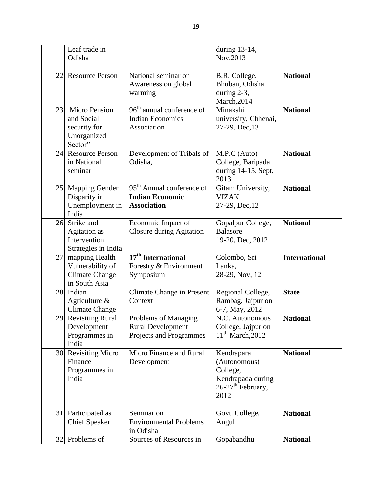|     | Leaf trade in          |                                       | during 13-14,                 |                      |
|-----|------------------------|---------------------------------------|-------------------------------|----------------------|
|     | Odisha                 |                                       | Nov, 2013                     |                      |
|     |                        |                                       |                               |                      |
|     | 22 Resource Person     | National seminar on                   | B.R. College,                 | <b>National</b>      |
|     |                        | Awareness on global                   | Bhuban, Odisha                |                      |
|     |                        | warming                               | during $2-3$ ,                |                      |
|     |                        |                                       | March, 2014                   |                      |
|     |                        | 96 <sup>th</sup> annual conference of |                               |                      |
| 23. | <b>Micro Pension</b>   |                                       | Minakshi                      | <b>National</b>      |
|     | and Social             | <b>Indian Economics</b>               | university, Chhenai,          |                      |
|     | security for           | Association                           | 27-29, Dec, 13                |                      |
|     | Unorganized            |                                       |                               |                      |
|     | Sector"                |                                       |                               |                      |
| 24. | <b>Resource Person</b> | Development of Tribals of             | M.P.C (Auto)                  | <b>National</b>      |
|     | in National            | Odisha,                               | College, Baripada             |                      |
|     | seminar                |                                       | during 14-15, Sept,           |                      |
|     |                        |                                       | 2013                          |                      |
|     |                        | 95 <sup>th</sup> Annual conference of |                               |                      |
|     | 25 Mapping Gender      |                                       | Gitam University,             | <b>National</b>      |
|     | Disparity in           | <b>Indian Economic</b>                | <b>VIZAK</b>                  |                      |
|     | Unemployment in        | <b>Association</b>                    | 27-29, Dec, 12                |                      |
|     | India                  |                                       |                               |                      |
| 26. | Strike and             | Economic Impact of                    | Gopalpur College,             | <b>National</b>      |
|     | <b>Agitation</b> as    | <b>Closure during Agitation</b>       | <b>Balasore</b>               |                      |
|     | Intervention           |                                       | 19-20, Dec, 2012              |                      |
|     | Strategies in India    |                                       |                               |                      |
| 27. | mapping Health         | 17 <sup>th</sup> International        | Colombo, Sri                  | <b>International</b> |
|     | Vulnerability of       | Forestry & Environment                | Lanka,                        |                      |
|     |                        |                                       |                               |                      |
|     | <b>Climate Change</b>  | Symposium                             | 28-29, Nov, 12                |                      |
|     | in South Asia          |                                       |                               |                      |
| 28. | Indian                 | <b>Climate Change in Present</b>      | Regional College,             | <b>State</b>         |
|     | Agriculture $\&$       | Context                               | Rambag, Jajpur on             |                      |
|     | <b>Climate Change</b>  |                                       | 6-7, May, 2012                |                      |
|     | 29 Revisiting Rural    | Problems of Managing                  | N.C. Autonomous               | <b>National</b>      |
|     | Development            | <b>Rural Development</b>              | College, Jajpur on            |                      |
|     | Programmes in          | Projects and Programmes               | 11 <sup>th</sup> March, 2012  |                      |
|     | India                  |                                       |                               |                      |
|     | 30 Revisiting Micro    | Micro Finance and Rural               | Kendrapara                    | <b>National</b>      |
|     |                        |                                       |                               |                      |
|     | Finance                | Development                           | (Autonomous)                  |                      |
|     | Programmes in          |                                       | College,                      |                      |
|     | India                  |                                       | Kendrapada during             |                      |
|     |                        |                                       | 26-27 <sup>th</sup> February, |                      |
|     |                        |                                       | 2012                          |                      |
|     |                        |                                       |                               |                      |
|     | 31 Participated as     | Seminar on                            | Govt. College,                | <b>National</b>      |
|     | <b>Chief Speaker</b>   | <b>Environmental Problems</b>         | Angul                         |                      |
|     |                        | in Odisha                             |                               |                      |
|     | Problems of            |                                       |                               |                      |
| 32. |                        | Sources of Resources in               | Gopabandhu                    | <b>National</b>      |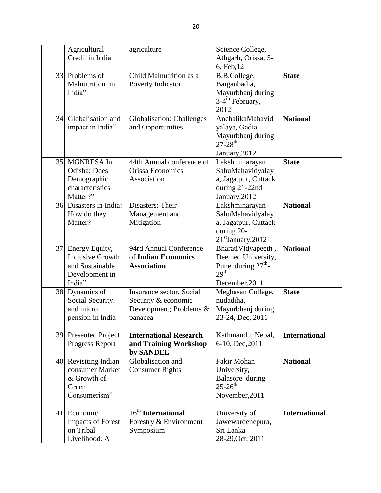|     | Agricultural             | agriculture                      | Science College,            |                      |
|-----|--------------------------|----------------------------------|-----------------------------|----------------------|
|     | Credit in India          |                                  | Athgarh, Orissa, 5-         |                      |
|     |                          |                                  | 6, Feb, 12                  |                      |
|     | 33 Problems of           | Child Malnutrition as a          | B.B.College,                | <b>State</b>         |
|     | Malnutrition in          | Poverty Indicator                | Baiganbadia,                |                      |
|     | India"                   |                                  | Mayurbhanj during           |                      |
|     |                          |                                  | 3-4 <sup>th</sup> February, |                      |
|     |                          |                                  | 2012                        |                      |
| 34. | Globalisation and        | <b>Globalisation: Challenges</b> | AnchalikaMahavid            | <b>National</b>      |
|     | impact in India"         | and Opportunities                | yalaya, Gadia,              |                      |
|     |                          |                                  | Mayurbhanj during           |                      |
|     |                          |                                  | $27 - 28$ <sup>th</sup>     |                      |
|     |                          |                                  | January, 2012               |                      |
| 35  | MGNRESA In               | 44th Annual conference of        | Lakshminarayan              | <b>State</b>         |
|     | Odisha; Does             | Orissa Economics                 | SahuMahavidyalay            |                      |
|     | Demographic              | Association                      | a, Jagatpur, Cuttack        |                      |
|     | characteristics          |                                  | during 21-22nd              |                      |
|     | Matter?"                 |                                  | January, 2012               |                      |
| 36  | Disasters in India:      | Disasters: Their                 | Lakshminarayan              | <b>National</b>      |
|     | How do they              | Management and                   | SahuMahavidyalay            |                      |
|     | Matter?                  | Mitigation                       | a, Jagatpur, Cuttack        |                      |
|     |                          |                                  | during 20-                  |                      |
|     |                          |                                  | 21st January, 2012          |                      |
| 37. | Energy Equity,           | 94rd Annual Conference           | BharatiVidyapeeth,          | <b>National</b>      |
|     | <b>Inclusive Growth</b>  | of Indian Economics              | Deemed University,          |                      |
|     | and Sustainable          | <b>Association</b>               | Pune during $27th$ -        |                      |
|     | Development in           |                                  | 29 <sup>th</sup>            |                      |
|     | India"                   |                                  | December, 2011              |                      |
| 38. | Dynamics of              | Insurance sector, Social         | Meghasan College,           | <b>State</b>         |
|     | Social Security.         | Security & economic              | nudadiha,                   |                      |
|     | and micro                | Development; Problems &          | Mayurbhanj during           |                      |
|     | pension in India         | panacea                          | 23-24, Dec, 2011            |                      |
|     |                          |                                  |                             |                      |
|     | 39 Presented Project     | <b>International Research</b>    | Kathmandu, Nepal,           | <b>International</b> |
|     | Progress Report          | and Training Workshop            | 6-10, Dec, 2011             |                      |
|     | 40 Revisiting Indian     | by SANDEE<br>Globalisation and   | Fakir Mohan                 | <b>National</b>      |
|     | consumer Market          | <b>Consumer Rights</b>           | University,                 |                      |
|     | & Growth of              |                                  | Balasore during             |                      |
|     | Green                    |                                  | $25 - 26^{th}$              |                      |
|     | Consumerism"             |                                  | November, 2011              |                      |
|     |                          |                                  |                             |                      |
|     | 41 Economic              | $16th$ International             | University of               | <b>International</b> |
|     | <b>Impacts of Forest</b> | Forestry & Environment           | Jawewardenepura,            |                      |
|     | on Tribal                | Symposium                        | Sri Lanka                   |                      |
|     | Livelihood: A            |                                  | 28-29, Oct, 2011            |                      |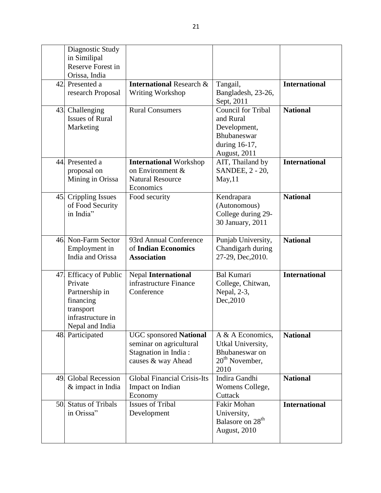|     | Diagnostic Study<br>in Similipal<br>Reserve Forest in<br>Orissa, India                                               |                                                                                                        |                                                                                                        |                      |
|-----|----------------------------------------------------------------------------------------------------------------------|--------------------------------------------------------------------------------------------------------|--------------------------------------------------------------------------------------------------------|----------------------|
|     | 42 Presented a<br>research Proposal                                                                                  | <b>International Research &amp;</b><br><b>Writing Workshop</b>                                         | Tangail,<br>Bangladesh, 23-26,<br>Sept, 2011                                                           | <b>International</b> |
| 43. | Challenging<br><b>Issues of Rural</b><br>Marketing                                                                   | <b>Rural Consumers</b>                                                                                 | <b>Council for Tribal</b><br>and Rural<br>Development,<br>Bhubaneswar<br>during 16-17,<br>August, 2011 | <b>National</b>      |
|     | 44 Presented a<br>proposal on<br>Mining in Orissa                                                                    | <b>International Workshop</b><br>on Environment &<br><b>Natural Resource</b><br>Economics              | AIT, Thailand by<br>SANDEE, 2 - 20,<br>May, 11                                                         | <b>International</b> |
| 45. | <b>Crippling Issues</b><br>of Food Security<br>in India"                                                             | Food security                                                                                          | Kendrapara<br>(Autonomous)<br>College during 29-<br>30 January, 2011                                   | <b>National</b>      |
|     | 46 Non-Farm Sector<br>Employment in<br>India and Orissa                                                              | 93rd Annual Conference<br>of Indian Economics<br><b>Association</b>                                    | Punjab University,<br>Chandigarh during<br>27-29, Dec, 2010.                                           | <b>National</b>      |
|     | 47 Efficacy of Public<br>Private<br>Partnership in<br>financing<br>transport<br>infrastructure in<br>Nepal and India | Nepal International<br>infrastructure Finance<br>Conference                                            | <b>Bal Kumari</b><br>College, Chitwan,<br>Nepal, 2-3,<br>Dec, 2010                                     | <b>International</b> |
| 48. | Participated                                                                                                         | <b>UGC</b> sponsored National<br>seminar on agricultural<br>Stagnation in India:<br>causes & way Ahead | A & A Economics,<br>Utkal University,<br>Bhubaneswar on<br>20 <sup>th</sup> November,<br>2010          | <b>National</b>      |
| 49. | <b>Global Recession</b><br>& impact in India                                                                         | <b>Global Financial Crisis-Its</b><br>Impact on Indian<br>Economy                                      | Indira Gandhi<br>Womens College,<br>Cuttack                                                            | <b>National</b>      |
| 50. | <b>Status of Tribals</b><br>in Orissa"                                                                               | <b>Issues of Tribal</b><br>Development                                                                 | Fakir Mohan<br>University,<br>Balasore on 28 <sup>th</sup><br>August, 2010                             | <b>International</b> |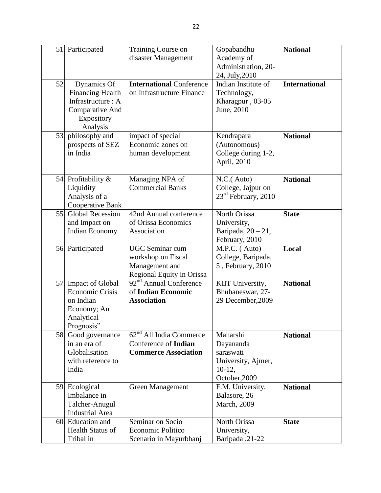|     | 51 Participated                    | Training Course on                   | Gopabandhu                              | <b>National</b>      |
|-----|------------------------------------|--------------------------------------|-----------------------------------------|----------------------|
|     |                                    | disaster Management                  | Academy of                              |                      |
|     |                                    |                                      | Administration, 20-<br>24, July, 2010   |                      |
| 52. | Dynamics Of                        | <b>International Conference</b>      | Indian Institute of                     | <b>International</b> |
|     | <b>Financing Health</b>            | on Infrastructure Finance            | Technology,                             |                      |
|     | Infrastructure: A                  |                                      | Kharagpur, 03-05                        |                      |
|     | Comparative And                    |                                      | June, 2010                              |                      |
|     | Expository                         |                                      |                                         |                      |
|     | Analysis                           |                                      |                                         |                      |
| 53. | philosophy and                     | impact of special                    | Kendrapara                              | <b>National</b>      |
|     | prospects of SEZ                   | Economic zones on                    | (Autonomous)                            |                      |
|     | in India                           | human development                    | College during 1-2,                     |                      |
|     |                                    |                                      | April, 2010                             |                      |
|     | 54 Profitability &                 | Managing NPA of                      | N.C.(Auto)                              | <b>National</b>      |
|     | Liquidity                          | <b>Commercial Banks</b>              | College, Jajpur on                      |                      |
|     | Analysis of a                      |                                      | $23rd$ February, 2010                   |                      |
|     | Cooperative Bank                   |                                      |                                         |                      |
| 55. | <b>Global Recession</b>            | 42nd Annual conference               | North Orissa                            | <b>State</b>         |
|     | and Impact on                      | of Orissa Economics                  | University,                             |                      |
|     | Indian Economy                     | Association                          | Baripada, $20 - 21$ ,                   |                      |
|     |                                    |                                      | February, 2010                          |                      |
|     | 56 Participated                    | <b>UGC</b> Seminar cum               | M.P.C. (Auto)                           | Local                |
|     |                                    | workshop on Fiscal<br>Management and | College, Baripada,<br>5, February, 2010 |                      |
|     |                                    | Regional Equity in Orissa            |                                         |                      |
| 57. | <b>Impact of Global</b>            | 92 <sup>nd</sup> Annual Conference   | KIIT University,                        | <b>National</b>      |
|     | <b>Economic Crisis</b>             | of Indian Economic                   | Bhubaneswar, 27-                        |                      |
|     | on Indian                          | <b>Association</b>                   | 29 December, 2009                       |                      |
|     | Economy; An                        |                                      |                                         |                      |
|     | Analytical                         |                                      |                                         |                      |
|     | Prognosis"                         |                                      |                                         |                      |
| 58. | Good governance                    | $62nd$ All India Commerce            | Maharshi                                | <b>National</b>      |
|     | in an era of                       | Conference of Indian                 | Dayananda                               |                      |
|     | Globalisation<br>with reference to | <b>Commerce Association</b>          | saraswati<br>University, Ajmer,         |                      |
|     | India                              |                                      | $10-12$ ,                               |                      |
|     |                                    |                                      | October, 2009                           |                      |
|     | 59 Ecological                      | <b>Green Management</b>              | F.M. University,                        | <b>National</b>      |
|     | Imbalance in                       |                                      | Balasore, 26                            |                      |
|     | Talcher-Anugul                     |                                      | March, 2009                             |                      |
|     | <b>Industrial Area</b>             |                                      |                                         |                      |
| 60. | <b>Education</b> and               | Seminar on Socio                     | North Orissa                            | <b>State</b>         |
|     | Health Status of                   | <b>Economic Politico</b>             | University,                             |                      |
|     | Tribal in                          | Scenario in Mayurbhanj               | Baripada ,21-22                         |                      |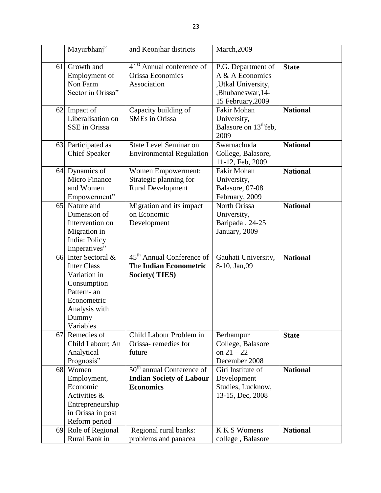|     | Mayurbhanj"                                                                                                                                | and Keonjhar districts                                                                       | March, 2009                                                                                            |                 |
|-----|--------------------------------------------------------------------------------------------------------------------------------------------|----------------------------------------------------------------------------------------------|--------------------------------------------------------------------------------------------------------|-----------------|
| 61. | Growth and<br>Employment of<br>Non Farm<br>Sector in Orissa"                                                                               | 41 <sup>st</sup> Annual conference of<br>Orissa Economics<br>Association                     | P.G. Department of<br>A & A Economics<br>, Utkal University,<br>,Bhubaneswar, 14-<br>15 February, 2009 | <b>State</b>    |
|     | 62 Impact of<br>Liberalisation on<br>SSE in Orissa                                                                                         | Capacity building of<br><b>SMEs</b> in Orissa                                                | Fakir Mohan<br>University,<br>Balasore on 13 <sup>th</sup> feb,<br>2009                                | <b>National</b> |
| 63. | Participated as<br><b>Chief Speaker</b>                                                                                                    | <b>State Level Seminar on</b><br><b>Environmental Regulation</b>                             | Swarnachuda<br>College, Balasore,<br>11-12, Feb, 2009                                                  | <b>National</b> |
|     | 64 Dynamics of<br><b>Micro Finance</b><br>and Women<br>Empowerment"                                                                        | Women Empowerment:<br>Strategic planning for<br><b>Rural Development</b>                     | Fakir Mohan<br>University,<br>Balasore, 07-08<br>February, 2009                                        | <b>National</b> |
| 65. | Nature and<br>Dimension of<br>Intervention on<br>Migration in<br>India: Policy<br>Imperatives"                                             | Migration and its impact<br>on Economic<br>Development                                       | North Orissa<br>University,<br>Baripada, 24-25<br>January, 2009                                        | <b>National</b> |
| 66. | Inter Sectoral &<br><b>Inter Class</b><br>Variation in<br>Consumption<br>Pattern- an<br>Econometric<br>Analysis with<br>Dummy<br>Variables | 45 <sup>th</sup> Annual Conference of<br>The Indian Econometric<br><b>Society</b> (TIES)     | Gauhati University,<br>8-10, Jan,09                                                                    | <b>National</b> |
| 67. | Remedies of<br>Child Labour; An<br>Analytical<br>Prognosis"                                                                                | Child Labour Problem in<br>Orissa-remedies for<br>future                                     | Berhampur<br>College, Balasore<br>on $21 - 22$<br>December 2008                                        | <b>State</b>    |
| 68. | Women<br>Employment,<br>Economic<br>Activities &<br>Entrepreneurship<br>in Orissa in post<br>Reform period                                 | 50 <sup>th</sup> annual Conference of<br><b>Indian Society of Labour</b><br><b>Economics</b> | Giri Institute of<br>Development<br>Studies, Lucknow,<br>13-15, Dec, 2008                              | <b>National</b> |
| 69. | Role of Regional<br>Rural Bank in                                                                                                          | Regional rural banks:<br>problems and panacea                                                | <b>K K S Womens</b><br>college, Balasore                                                               | <b>National</b> |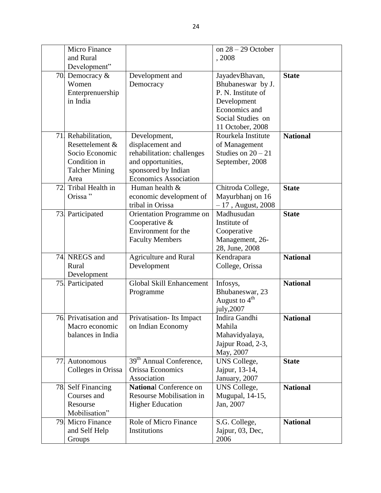|     | Micro Finance                 |                                             | on $28 - 29$ October |                 |
|-----|-------------------------------|---------------------------------------------|----------------------|-----------------|
|     | and Rural<br>Development"     |                                             | , 2008               |                 |
| 70. | Democracy &                   | Development and                             | JayadevBhavan,       | <b>State</b>    |
|     | Women                         | Democracy                                   | Bhubaneswar by J.    |                 |
|     | Enterprenuership              |                                             | P. N. Institute of   |                 |
|     | in India                      |                                             | Development          |                 |
|     |                               |                                             | Economics and        |                 |
|     |                               |                                             | Social Studies on    |                 |
|     |                               |                                             | 11 October, 2008     |                 |
|     | 71 Rehabilitation,            | Development,                                | Rourkela Institute   | <b>National</b> |
|     | Resettelement &               | displacement and                            | of Management        |                 |
|     | Socio Economic                | rehabilitation: challenges                  | Studies on $20 - 21$ |                 |
|     | Condition in                  | and opportunities,                          |                      |                 |
|     |                               | sponsored by Indian                         | September, 2008      |                 |
|     | <b>Talcher Mining</b><br>Area | <b>Economics Association</b>                |                      |                 |
| 72. | Tribal Health in              | Human health &                              |                      | <b>State</b>    |
|     | Orissa <sup>"</sup>           |                                             | Chitroda College,    |                 |
|     |                               | economic development of<br>tribal in Orissa | Mayurbhanj on 16     |                 |
|     |                               |                                             | $-17$ , August, 2008 |                 |
| 73. | Participated                  | Orientation Programme on                    | Madhusudan           | <b>State</b>    |
|     |                               | Cooperative $&$                             | Institute of         |                 |
|     |                               | Environment for the                         | Cooperative          |                 |
|     |                               | <b>Faculty Members</b>                      | Management, 26-      |                 |
|     |                               |                                             | 28, June, 2008       |                 |
| 74. | NREGS and                     | <b>Agriculture and Rural</b>                | Kendrapara           | <b>National</b> |
|     | Rural                         | Development                                 | College, Orissa      |                 |
|     | Development                   |                                             |                      |                 |
|     | 75 Participated               | <b>Global Skill Enhancement</b>             | Infosys,             | <b>National</b> |
|     |                               | Programme                                   | Bhubaneswar, 23      |                 |
|     |                               |                                             | August to $4th$      |                 |
|     |                               |                                             | july, 2007           |                 |
|     | 76 Privatisation and          | Privatisation- Its Impact                   | Indira Gandhi        | <b>National</b> |
|     | Macro economic                | on Indian Economy                           | Mahila               |                 |
|     | balances in India             |                                             | Mahavidyalaya,       |                 |
|     |                               |                                             | Jajpur Road, 2-3,    |                 |
|     |                               |                                             | May, 2007            |                 |
| 77  | Autonomous                    | 39 <sup>th</sup> Annual Conference,         | UNS College,         | <b>State</b>    |
|     | Colleges in Orissa            | Orissa Economics                            | Jajpur, 13-14,       |                 |
|     |                               | Association                                 | January, 2007        |                 |
| 78. | <b>Self Financing</b>         | <b>National Conference on</b>               | UNS College,         | <b>National</b> |
|     | Courses and                   | <b>Resourse Mobilisation in</b>             | Mugupal, 14-15,      |                 |
|     | Resourse                      | <b>Higher Education</b>                     | Jan, 2007            |                 |
|     | Mobilisation"                 |                                             |                      |                 |
| 79. | Micro Finance                 | Role of Micro Finance                       | S.G. College,        | <b>National</b> |
|     | and Self Help                 | Institutions                                | Jajpur, 03, Dec,     |                 |
|     | Groups                        |                                             | 2006                 |                 |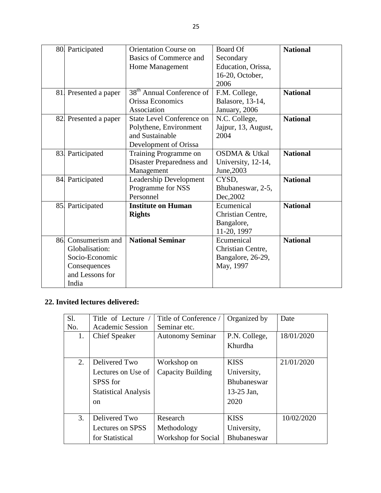|     | 80 Participated      | Orientation Course on                     | <b>Board Of</b>          | <b>National</b> |
|-----|----------------------|-------------------------------------------|--------------------------|-----------------|
|     |                      | Basics of Commerce and                    | Secondary                |                 |
|     |                      | Home Management                           | Education, Orissa,       |                 |
|     |                      |                                           | 16-20, October,          |                 |
|     |                      |                                           | 2006                     |                 |
|     | 81 Presented a paper | $\overline{38^{th}}$ Annual Conference of | F.M. College,            | <b>National</b> |
|     |                      | Orissa Economics                          | Balasore, 13-14,         |                 |
|     |                      | Association                               | January, 2006            |                 |
|     | 82 Presented a paper | <b>State Level Conference on</b>          | N.C. College,            | <b>National</b> |
|     |                      | Polythene, Environment                    | Jajpur, 13, August,      |                 |
|     |                      | and Sustainable                           | 2004                     |                 |
|     |                      | Development of Orissa                     |                          |                 |
|     | 83 Participated      | Training Programme on                     | <b>OSDMA &amp; Utkal</b> | <b>National</b> |
|     |                      | Disaster Preparedness and                 | University, 12-14,       |                 |
|     |                      | Management                                | June, 2003               |                 |
|     | 84 Participated      | Leadership Development                    | CYSD,                    | <b>National</b> |
|     |                      | Programme for NSS                         | Bhubaneswar, 2-5,        |                 |
|     |                      | Personnel                                 | Dec, 2002                |                 |
|     | 85 Participated      | <b>Institute on Human</b>                 | Ecumenical               | <b>National</b> |
|     |                      | <b>Rights</b>                             | Christian Centre,        |                 |
|     |                      |                                           | Bangalore,               |                 |
|     |                      |                                           | 11-20, 1997              |                 |
| 86. | Consumerism and      | <b>National Seminar</b>                   | Ecumenical               | <b>National</b> |
|     | Globalisation:       |                                           | Christian Centre,        |                 |
|     | Socio-Economic       |                                           | Bangalore, 26-29,        |                 |
|     | Consequences         |                                           | May, 1997                |                 |
|     | and Lessons for      |                                           |                          |                 |
|     | India                |                                           |                          |                 |

# **22. Invited lectures delivered:**

| Sl. | Title of Lecture            | Title of Conference /   | Organized by       | Date       |
|-----|-----------------------------|-------------------------|--------------------|------------|
| No. | <b>Academic Session</b>     | Seminar etc.            |                    |            |
| 1.  | <b>Chief Speaker</b>        | <b>Autonomy Seminar</b> | P.N. College,      | 18/01/2020 |
|     |                             |                         | Khurdha            |            |
|     |                             |                         |                    |            |
| 2.  | Delivered Two               | Workshop on             | <b>KISS</b>        | 21/01/2020 |
|     | Lectures on Use of          | Capacity Building       | University,        |            |
|     | SPSS for                    |                         | <b>Bhubaneswar</b> |            |
|     | <b>Statistical Analysis</b> |                         | 13-25 Jan,         |            |
|     | <sub>on</sub>               |                         | 2020               |            |
|     |                             |                         |                    |            |
| 3.  | Delivered Two               | Research                | <b>KISS</b>        | 10/02/2020 |
|     | <b>Lectures on SPSS</b>     | Methodology             | University,        |            |
|     | for Statistical             | Workshop for Social     | Bhubaneswar        |            |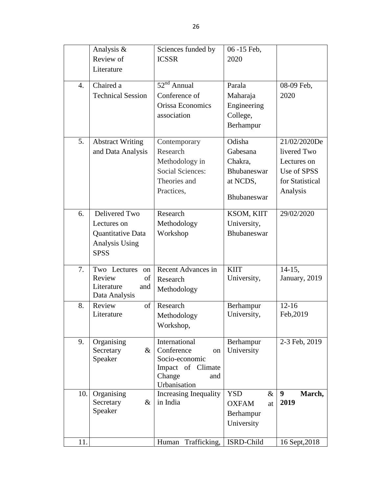|                  | Analysis &                 | Sciences funded by                 | 06 - 15 Feb,       |                 |
|------------------|----------------------------|------------------------------------|--------------------|-----------------|
|                  | Review of                  | <b>ICSSR</b>                       | 2020               |                 |
|                  | Literature                 |                                    |                    |                 |
| $\overline{4}$ . | Chaired a                  | $52nd$ Annual                      | Parala             | 08-09 Feb,      |
|                  |                            |                                    |                    |                 |
|                  | <b>Technical Session</b>   | Conference of                      | Maharaja           | 2020            |
|                  |                            | Orissa Economics                   | Engineering        |                 |
|                  |                            | association                        | College,           |                 |
|                  |                            |                                    | Berhampur          |                 |
| 5.               | <b>Abstract Writing</b>    | Contemporary                       | Odisha             | 21/02/2020De    |
|                  | and Data Analysis          | Research                           | Gabesana           | livered Two     |
|                  |                            | Methodology in                     | Chakra,            | Lectures on     |
|                  |                            | Social Sciences:                   | Bhubaneswar        | Use of SPSS     |
|                  |                            | Theories and                       | at NCDS,           | for Statistical |
|                  |                            | Practices,                         |                    | Analysis        |
|                  |                            |                                    | Bhubaneswar        |                 |
| 6.               | Delivered Two              | Research                           | KSOM, KIIT         | 29/02/2020      |
|                  | Lectures on                | Methodology                        | University,        |                 |
|                  | Quantitative Data          | Workshop                           | Bhubaneswar        |                 |
|                  | <b>Analysis Using</b>      |                                    |                    |                 |
|                  | <b>SPSS</b>                |                                    |                    |                 |
|                  |                            |                                    |                    |                 |
| 7.               | Two Lectures<br>on         | Recent Advances in                 | <b>KIIT</b>        | $14-15$ ,       |
|                  | Review<br>of<br>Literature | Research                           | University,        | January, 2019   |
|                  | and<br>Data Analysis       | Methodology                        |                    |                 |
| 8.               | Review<br>of               | Research                           | Berhampur          | $12 - 16$       |
|                  | Literature                 | Methodology                        | University,        | Feb, 2019       |
|                  |                            | Workshop,                          |                    |                 |
|                  |                            |                                    |                    |                 |
| 9.               | Organising                 | International                      | Berhampur          | 2-3 Feb, 2019   |
|                  | $\&$<br>Secretary          | Conference<br>on                   | University         |                 |
|                  | Speaker                    | Socio-economic                     |                    |                 |
|                  |                            | Impact of Climate<br>Change<br>and |                    |                 |
|                  |                            | Urbanisation                       |                    |                 |
| 10.              | Organising                 | Increasing Inequality              | <b>YSD</b><br>&    | 9<br>March,     |
|                  | Secretary<br>$\&$          | in India                           | <b>OXFAM</b><br>at | 2019            |
|                  | Speaker                    |                                    | Berhampur          |                 |
|                  |                            |                                    | University         |                 |
|                  |                            |                                    |                    |                 |
| 11.              |                            | Trafficking,<br>Human              | ISRD-Child         | 16 Sept, 2018   |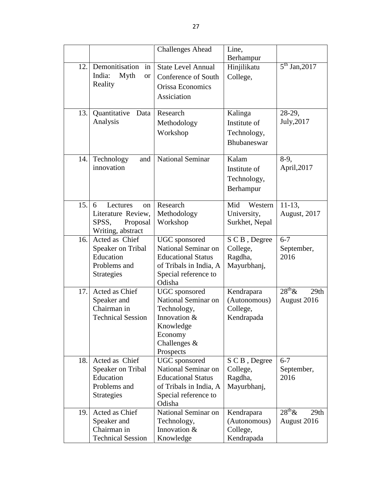|     |                                                                                                | <b>Challenges Ahead</b>                                                                                                       | Line,<br>Berhampur                                    |                                                       |
|-----|------------------------------------------------------------------------------------------------|-------------------------------------------------------------------------------------------------------------------------------|-------------------------------------------------------|-------------------------------------------------------|
| 12. | Demonitisation<br>in<br>India:<br>Myth<br><b>or</b><br>Reality                                 | <b>State Level Annual</b><br>Conference of South<br>Orissa Economics<br>Assiciation                                           | Hinjilikatu<br>College,                               | 5 <sup>th</sup> Jan, 2017                             |
| 13. | Quantitative<br>Data<br>Analysis                                                               | Research<br>Methodology<br>Workshop                                                                                           | Kalinga<br>Institute of<br>Technology,<br>Bhubaneswar | 28-29,<br>July, 2017                                  |
| 14. | Technology<br>and<br>innovation                                                                | <b>National Seminar</b>                                                                                                       | Kalam<br>Institute of<br>Technology,<br>Berhampur     | 8-9,<br>April, 2017                                   |
| 15. | Lectures<br>6<br><sub>on</sub><br>Literature Review,<br>SPSS,<br>Proposal<br>Writing, abstract | Research<br>Methodology<br>Workshop                                                                                           | Mid<br>Western<br>University,<br>Surkhet, Nepal       | $11-13,$<br>August, 2017                              |
| 16. | Acted as Chief<br>Speaker on Tribal<br>Education<br>Problems and<br><b>Strategies</b>          | UGC sponsored<br>National Seminar on<br><b>Educational Status</b><br>of Tribals in India, A<br>Special reference to<br>Odisha | S C B, Degree<br>College,<br>Ragdha,<br>Mayurbhanj,   | $6 - 7$<br>September,<br>2016                         |
| 17. | Acted as Chief<br>Speaker and<br>Chairman in<br><b>Technical Session</b>                       | UGC sponsored<br>National Seminar on<br>Technology,<br>Innovation &<br>Knowledge<br>Economy<br>Challenges $\&$<br>Prospects   | Kendrapara<br>(Autonomous)<br>College,<br>Kendrapada  | $28^{\text{th}}$ &<br>29th<br>August 2016             |
| 18. | Acted as Chief<br>Speaker on Tribal<br>Education<br>Problems and<br><b>Strategies</b>          | UGC sponsored<br>National Seminar on<br><b>Educational Status</b><br>of Tribals in India, A<br>Special reference to<br>Odisha | S C B, Degree<br>College,<br>Ragdha,<br>Mayurbhanj,   | $6 - 7$<br>September,<br>2016                         |
| 19. | Acted as Chief<br>Speaker and<br>Chairman in<br><b>Technical Session</b>                       | National Seminar on<br>Technology,<br>Innovation &<br>Knowledge                                                               | Kendrapara<br>(Autonomous)<br>College,<br>Kendrapada  | $28^{\text{th}}$ &<br>29 <sub>th</sub><br>August 2016 |